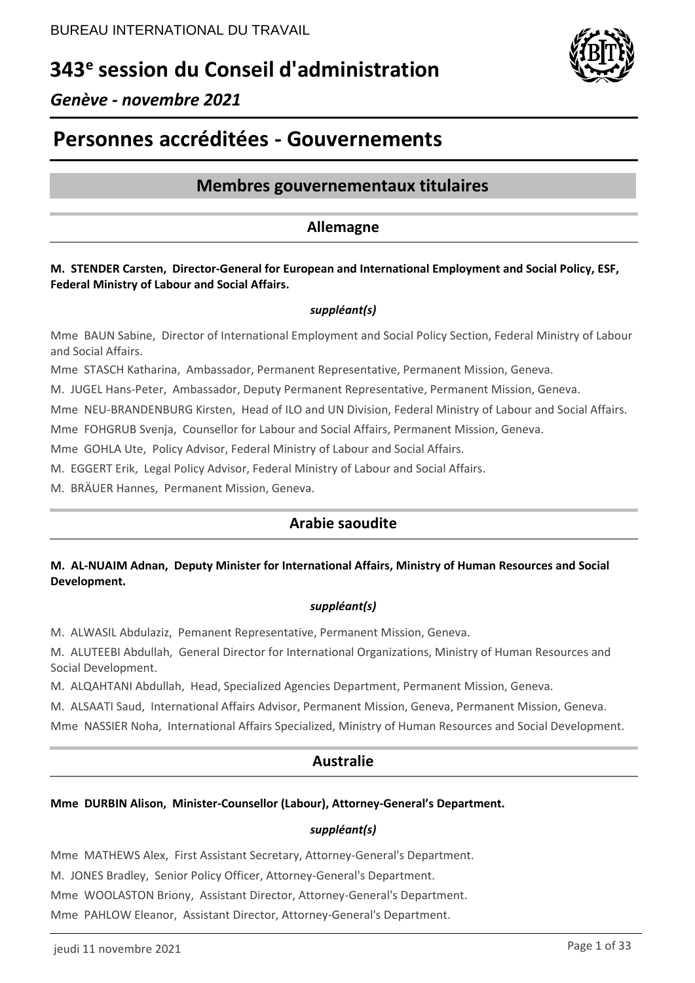# **343<sup>e</sup> session du Conseil d'administration**



## *Genève - novembre 2021*

# **Personnes accréditées - Gouvernements**

## **Membres gouvernementaux titulaires**

### **Allemagne**

#### **M. STENDER Carsten, Director-General for European and International Employment and Social Policy, ESF, Federal Ministry of Labour and Social Affairs.**

#### *suppléant(s)*

Mme BAUN Sabine, Director of International Employment and Social Policy Section, Federal Ministry of Labour and Social Affairs.

Mme STASCH Katharina, Ambassador, Permanent Representative, Permanent Mission, Geneva.

M. JUGEL Hans-Peter, Ambassador, Deputy Permanent Representative, Permanent Mission, Geneva.

Mme NEU-BRANDENBURG Kirsten, Head of ILO and UN Division, Federal Ministry of Labour and Social Affairs.

Mme FOHGRUB Svenja, Counsellor for Labour and Social Affairs, Permanent Mission, Geneva.

Mme GOHLA Ute, Policy Advisor, Federal Ministry of Labour and Social Affairs.

M. EGGERT Erik, Legal Policy Advisor, Federal Ministry of Labour and Social Affairs.

M. BRÄUER Hannes, Permanent Mission, Geneva.

## **Arabie saoudite**

### **M. AL-NUAIM Adnan, Deputy Minister for International Affairs, Ministry of Human Resources and Social Development.**

#### *suppléant(s)*

M. ALWASIL Abdulaziz, Pemanent Representative, Permanent Mission, Geneva.

M. ALUTEEBI Abdullah, General Director for International Organizations, Ministry of Human Resources and Social Development.

M. ALQAHTANI Abdullah, Head, Specialized Agencies Department, Permanent Mission, Geneva.

M. ALSAATI Saud, International Affairs Advisor, Permanent Mission, Geneva, Permanent Mission, Geneva.

Mme NASSIER Noha, International Affairs Specialized, Ministry of Human Resources and Social Development.

## **Australie**

#### **Mme DURBIN Alison, Minister-Counsellor (Labour), Attorney-General's Department.**

#### *suppléant(s)*

Mme MATHEWS Alex, First Assistant Secretary, Attorney-General's Department.

M. JONES Bradley, Senior Policy Officer, Attorney-General's Department.

Mme WOOLASTON Briony, Assistant Director, Attorney-General's Department.

Mme PAHLOW Eleanor, Assistant Director, Attorney-General's Department.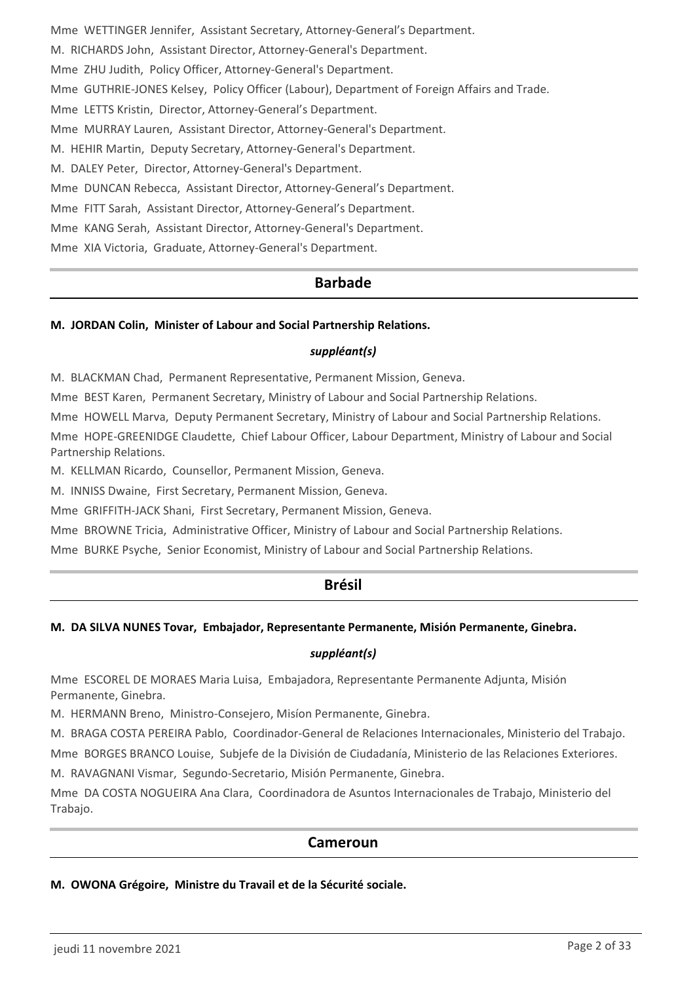Mme WETTINGER Jennifer, Assistant Secretary, Attorney-General's Department. M. RICHARDS John, Assistant Director, Attorney-General's Department. Mme ZHU Judith, Policy Officer, Attorney-General's Department. Mme GUTHRIE-JONES Kelsey, Policy Officer (Labour), Department of Foreign Affairs and Trade. Mme LETTS Kristin, Director, Attorney-General's Department. Mme MURRAY Lauren, Assistant Director, Attorney-General's Department. M. HEHIR Martin, Deputy Secretary, Attorney-General's Department. M. DALEY Peter, Director, Attorney-General's Department. Mme DUNCAN Rebecca, Assistant Director, Attorney-General's Department. Mme FITT Sarah, Assistant Director, Attorney-General's Department. Mme KANG Serah, Assistant Director, Attorney-General's Department. Mme XIA Victoria, Graduate, Attorney-General's Department.

## **Barbade**

#### **M. JORDAN Colin, Minister of Labour and Social Partnership Relations.**

#### *suppléant(s)*

M. BLACKMAN Chad, Permanent Representative, Permanent Mission, Geneva.

Mme BEST Karen, Permanent Secretary, Ministry of Labour and Social Partnership Relations.

Mme HOWELL Marva, Deputy Permanent Secretary, Ministry of Labour and Social Partnership Relations.

Mme HOPE-GREENIDGE Claudette, Chief Labour Officer, Labour Department, Ministry of Labour and Social Partnership Relations.

M. KELLMAN Ricardo, Counsellor, Permanent Mission, Geneva.

M. INNISS Dwaine, First Secretary, Permanent Mission, Geneva.

Mme GRIFFITH-JACK Shani, First Secretary, Permanent Mission, Geneva.

Mme BROWNE Tricia, Administrative Officer, Ministry of Labour and Social Partnership Relations.

Mme BURKE Psyche, Senior Economist, Ministry of Labour and Social Partnership Relations.

### **Brésil**

#### **M. DA SILVA NUNES Tovar, Embajador, Representante Permanente, Misión Permanente, Ginebra.**

#### *suppléant(s)*

Mme ESCOREL DE MORAES Maria Luisa, Embajadora, Representante Permanente Adjunta, Misión Permanente, Ginebra.

M. HERMANN Breno, Ministro-Consejero, Misíon Permanente, Ginebra.

M. BRAGA COSTA PEREIRA Pablo, Coordinador-General de Relaciones Internacionales, Ministerio del Trabajo.

Mme BORGES BRANCO Louise, Subjefe de la División de Ciudadanía, Ministerio de las Relaciones Exteriores.

M. RAVAGNANI Vismar, Segundo-Secretario, Misión Permanente, Ginebra.

Mme DA COSTA NOGUEIRA Ana Clara, Coordinadora de Asuntos Internacionales de Trabajo, Ministerio del Trabajo.

#### **Cameroun**

#### **M. OWONA Grégoire, Ministre du Travail et de la Sécurité sociale.**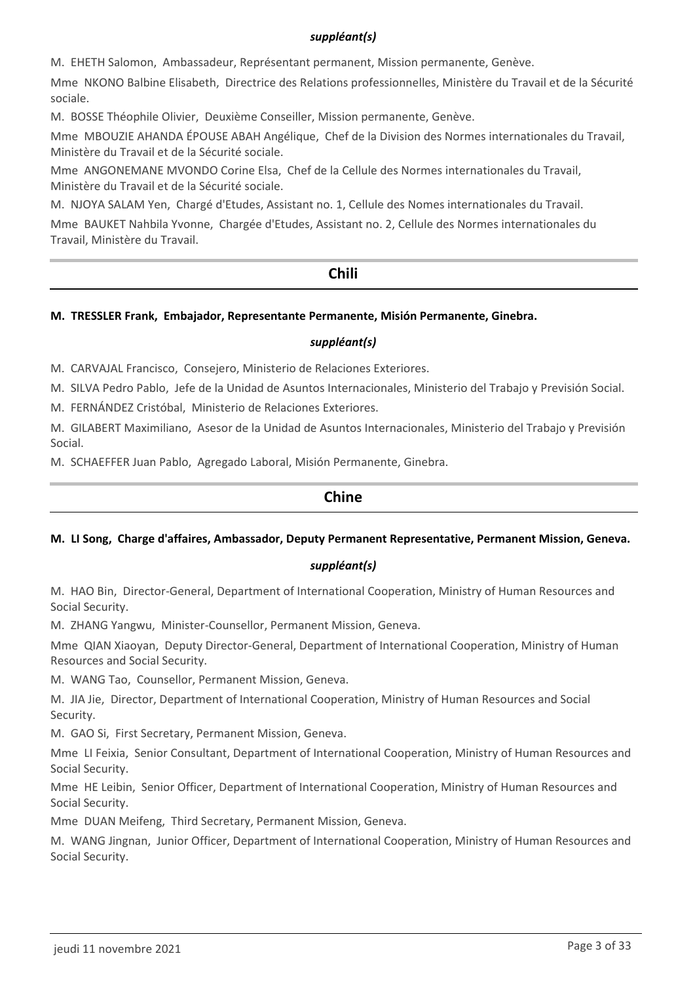#### *suppléant(s)*

M. EHETH Salomon, Ambassadeur, Représentant permanent, Mission permanente, Genève.

Mme NKONO Balbine Elisabeth, Directrice des Relations professionnelles, Ministère du Travail et de la Sécurité sociale.

M. BOSSE Théophile Olivier, Deuxième Conseiller, Mission permanente, Genève.

Mme MBOUZIE AHANDA ÉPOUSE ABAH Angélique, Chef de la Division des Normes internationales du Travail, Ministère du Travail et de la Sécurité sociale.

Mme ANGONEMANE MVONDO Corine Elsa, Chef de la Cellule des Normes internationales du Travail, Ministère du Travail et de la Sécurité sociale.

M. NJOYA SALAM Yen, Chargé d'Etudes, Assistant no. 1, Cellule des Nomes internationales du Travail.

Mme BAUKET Nahbila Yvonne, Chargée d'Etudes, Assistant no. 2, Cellule des Normes internationales du Travail, Ministère du Travail.

# **Chili**

#### **M. TRESSLER Frank, Embajador, Representante Permanente, Misión Permanente, Ginebra.**

#### *suppléant(s)*

M. CARVAJAL Francisco, Consejero, Ministerio de Relaciones Exteriores.

M. SILVA Pedro Pablo, Jefe de la Unidad de Asuntos Internacionales, Ministerio del Trabajo y Previsión Social.

M. FERNÁNDEZ Cristóbal, Ministerio de Relaciones Exteriores.

M. GILABERT Maximiliano, Asesor de la Unidad de Asuntos Internacionales, Ministerio del Trabajo y Previsión Social.

M. SCHAEFFER Juan Pablo, Agregado Laboral, Misión Permanente, Ginebra.

## **Chine**

#### **M. LI Song, Charge d'affaires, Ambassador, Deputy Permanent Representative, Permanent Mission, Geneva.**

#### *suppléant(s)*

M. HAO Bin, Director-General, Department of International Cooperation, Ministry of Human Resources and Social Security.

M. ZHANG Yangwu, Minister-Counsellor, Permanent Mission, Geneva.

Mme QIAN Xiaoyan, Deputy Director-General, Department of International Cooperation, Ministry of Human Resources and Social Security.

M. WANG Tao, Counsellor, Permanent Mission, Geneva.

M. JIA Jie, Director, Department of International Cooperation, Ministry of Human Resources and Social Security.

M. GAO Si, First Secretary, Permanent Mission, Geneva.

Mme LI Feixia, Senior Consultant, Department of International Cooperation, Ministry of Human Resources and Social Security.

Mme HE Leibin, Senior Officer, Department of International Cooperation, Ministry of Human Resources and Social Security.

Mme DUAN Meifeng, Third Secretary, Permanent Mission, Geneva.

M. WANG Jingnan, Junior Officer, Department of International Cooperation, Ministry of Human Resources and Social Security.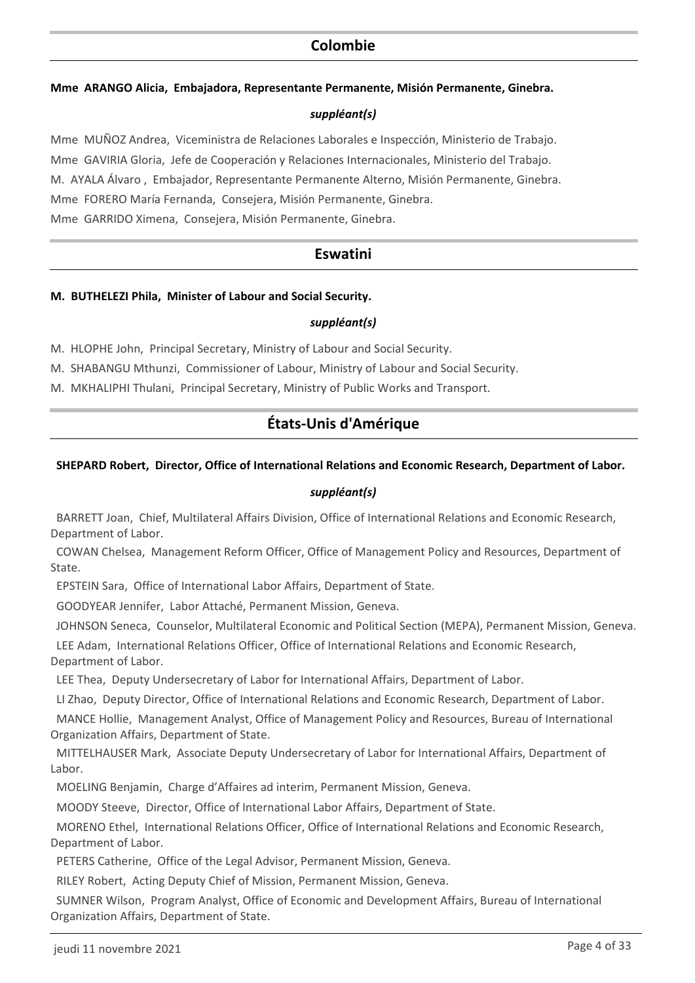## **Colombie**

#### **Mme ARANGO Alicia, Embajadora, Representante Permanente, Misión Permanente, Ginebra.**

#### *suppléant(s)*

Mme MUÑOZ Andrea, Viceministra de Relaciones Laborales e Inspección, Ministerio de Trabajo. Mme GAVIRIA Gloria, Jefe de Cooperación y Relaciones Internacionales, Ministerio del Trabajo. M. AYALA Álvaro , Embajador, Representante Permanente Alterno, Misión Permanente, Ginebra. Mme FORERO María Fernanda, Consejera, Misión Permanente, Ginebra. Mme GARRIDO Ximena, Consejera, Misión Permanente, Ginebra.

## **Eswatini**

#### **M. BUTHELEZI Phila, Minister of Labour and Social Security.**

#### *suppléant(s)*

M. HLOPHE John, Principal Secretary, Ministry of Labour and Social Security.

M. SHABANGU Mthunzi, Commissioner of Labour, Ministry of Labour and Social Security.

M. MKHALIPHI Thulani, Principal Secretary, Ministry of Public Works and Transport.

## **États-Unis d'Amérique**

#### **SHEPARD Robert, Director, Office of International Relations and Economic Research, Department of Labor.**

#### *suppléant(s)*

 BARRETT Joan, Chief, Multilateral Affairs Division, Office of International Relations and Economic Research, Department of Labor.

 COWAN Chelsea, Management Reform Officer, Office of Management Policy and Resources, Department of State.

EPSTEIN Sara, Office of International Labor Affairs, Department of State.

GOODYEAR Jennifer, Labor Attaché, Permanent Mission, Geneva.

JOHNSON Seneca, Counselor, Multilateral Economic and Political Section (MEPA), Permanent Mission, Geneva.

 LEE Adam, International Relations Officer, Office of International Relations and Economic Research, Department of Labor.

LEE Thea, Deputy Undersecretary of Labor for International Affairs, Department of Labor.

LI Zhao, Deputy Director, Office of International Relations and Economic Research, Department of Labor.

 MANCE Hollie, Management Analyst, Office of Management Policy and Resources, Bureau of International Organization Affairs, Department of State.

 MITTELHAUSER Mark, Associate Deputy Undersecretary of Labor for International Affairs, Department of Labor.

MOELING Benjamin, Charge d'Affaires ad interim, Permanent Mission, Geneva.

MOODY Steeve, Director, Office of International Labor Affairs, Department of State.

 MORENO Ethel, International Relations Officer, Office of International Relations and Economic Research, Department of Labor.

PETERS Catherine, Office of the Legal Advisor, Permanent Mission, Geneva.

RILEY Robert, Acting Deputy Chief of Mission, Permanent Mission, Geneva.

 SUMNER Wilson, Program Analyst, Office of Economic and Development Affairs, Bureau of International Organization Affairs, Department of State.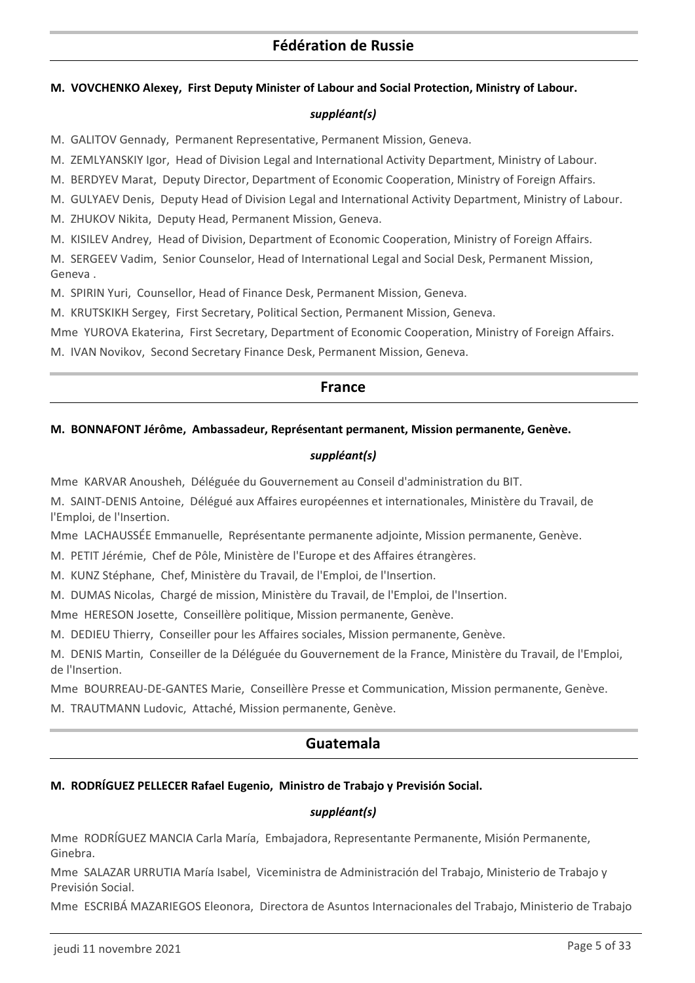#### **M. VOVCHENKO Alexey, First Deputy Minister of Labour and Social Protection, Ministry of Labour.**

#### *suppléant(s)*

M. GALITOV Gennady, Permanent Representative, Permanent Mission, Geneva.

M. ZEMLYANSKIY Igor, Head of Division Legal and International Activity Department, Ministry of Labour.

M. BERDYEV Marat, Deputy Director, Department of Economic Cooperation, Ministry of Foreign Affairs.

M. GULYAEV Denis, Deputy Head of Division Legal and International Activity Department, Ministry of Labour.

M. ZHUKOV Nikita, Deputy Head, Permanent Mission, Geneva.

M. KISILEV Andrey, Head of Division, Department of Economic Cooperation, Ministry of Foreign Affairs.

M. SERGEEV Vadim, Senior Counselor, Head of International Legal and Social Desk, Permanent Mission, Geneva .

M. SPIRIN Yuri, Counsellor, Head of Finance Desk, Permanent Mission, Geneva.

M. KRUTSKIKH Sergey, First Secretary, Political Section, Permanent Mission, Geneva.

Mme YUROVA Ekaterina, First Secretary, Department of Economic Cooperation, Ministry of Foreign Affairs.

M. IVAN Novikov, Second Secretary Finance Desk, Permanent Mission, Geneva.

### **France**

#### **M. BONNAFONT Jérôme, Ambassadeur, Représentant permanent, Mission permanente, Genève.**

#### *suppléant(s)*

Mme KARVAR Anousheh, Déléguée du Gouvernement au Conseil d'administration du BIT.

M. SAINT-DENIS Antoine, Délégué aux Affaires européennes et internationales, Ministère du Travail, de l'Emploi, de l'Insertion.

Mme LACHAUSSÉE Emmanuelle, Représentante permanente adjointe, Mission permanente, Genève.

M. PETIT Jérémie, Chef de Pôle, Ministère de l'Europe et des Affaires étrangères.

M. KUNZ Stéphane, Chef, Ministère du Travail, de l'Emploi, de l'Insertion.

M. DUMAS Nicolas, Chargé de mission, Ministère du Travail, de l'Emploi, de l'Insertion.

Mme HERESON Josette, Conseillère politique, Mission permanente, Genève.

M. DEDIEU Thierry, Conseiller pour les Affaires sociales, Mission permanente, Genève.

M. DENIS Martin, Conseiller de la Déléguée du Gouvernement de la France, Ministère du Travail, de l'Emploi, de l'Insertion.

Mme BOURREAU-DE-GANTES Marie, Conseillère Presse et Communication, Mission permanente, Genève.

M. TRAUTMANN Ludovic, Attaché, Mission permanente, Genève.

## **Guatemala**

#### **M. RODRÍGUEZ PELLECER Rafael Eugenio, Ministro de Trabajo y Previsión Social.**

#### *suppléant(s)*

Mme RODRÍGUEZ MANCIA Carla María, Embajadora, Representante Permanente, Misión Permanente, Ginebra.

Mme SALAZAR URRUTIA María Isabel, Viceministra de Administración del Trabajo, Ministerio de Trabajo y Previsión Social.

Mme ESCRIBÁ MAZARIEGOS Eleonora, Directora de Asuntos Internacionales del Trabajo, Ministerio de Trabajo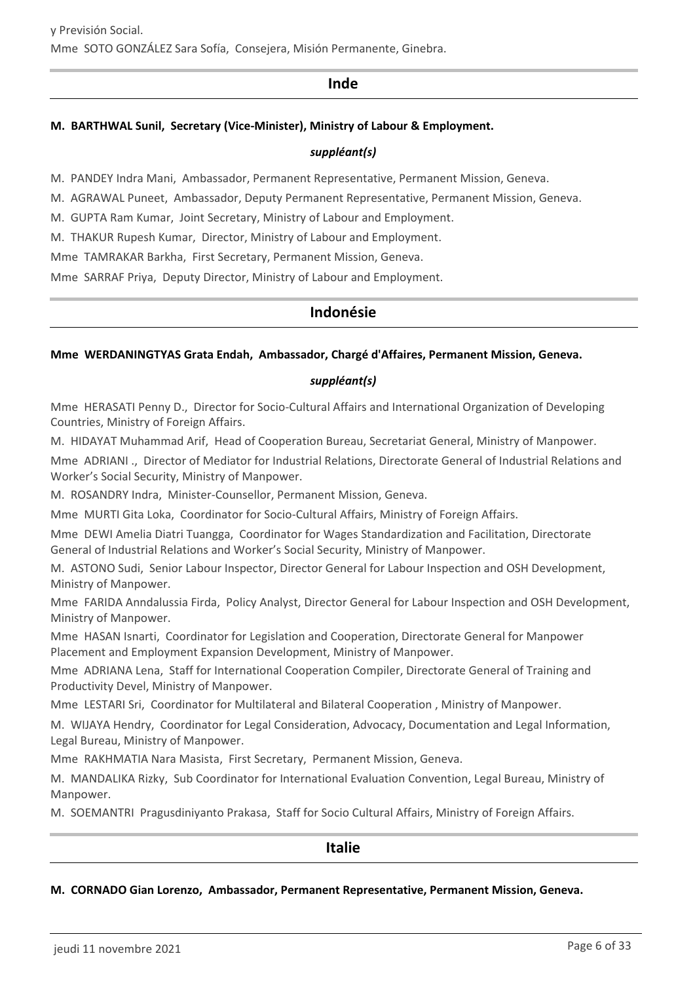### **Inde**

#### **M. BARTHWAL Sunil, Secretary (Vice-Minister), Ministry of Labour & Employment.**

#### *suppléant(s)*

M. PANDEY Indra Mani, Ambassador, Permanent Representative, Permanent Mission, Geneva.

M. AGRAWAL Puneet, Ambassador, Deputy Permanent Representative, Permanent Mission, Geneva.

M. GUPTA Ram Kumar, Joint Secretary, Ministry of Labour and Employment.

M. THAKUR Rupesh Kumar, Director, Ministry of Labour and Employment.

Mme TAMRAKAR Barkha, First Secretary, Permanent Mission, Geneva.

Mme SARRAF Priya, Deputy Director, Ministry of Labour and Employment.

## **Indonésie**

#### **Mme WERDANINGTYAS Grata Endah, Ambassador, Chargé d'Affaires, Permanent Mission, Geneva.**

#### *suppléant(s)*

Mme HERASATI Penny D., Director for Socio-Cultural Affairs and International Organization of Developing Countries, Ministry of Foreign Affairs.

M. HIDAYAT Muhammad Arif, Head of Cooperation Bureau, Secretariat General, Ministry of Manpower.

Mme ADRIANI ., Director of Mediator for Industrial Relations, Directorate General of Industrial Relations and Worker's Social Security, Ministry of Manpower.

M. ROSANDRY Indra, Minister-Counsellor, Permanent Mission, Geneva.

Mme MURTI Gita Loka, Coordinator for Socio-Cultural Affairs, Ministry of Foreign Affairs.

Mme DEWI Amelia Diatri Tuangga, Coordinator for Wages Standardization and Facilitation, Directorate General of Industrial Relations and Worker's Social Security, Ministry of Manpower.

M. ASTONO Sudi, Senior Labour Inspector, Director General for Labour Inspection and OSH Development, Ministry of Manpower.

Mme FARIDA Anndalussia Firda, Policy Analyst, Director General for Labour Inspection and OSH Development, Ministry of Manpower.

Mme HASAN Isnarti, Coordinator for Legislation and Cooperation, Directorate General for Manpower Placement and Employment Expansion Development, Ministry of Manpower.

Mme ADRIANA Lena, Staff for International Cooperation Compiler, Directorate General of Training and Productivity Devel, Ministry of Manpower.

Mme LESTARI Sri, Coordinator for Multilateral and Bilateral Cooperation , Ministry of Manpower.

M. WIJAYA Hendry, Coordinator for Legal Consideration, Advocacy, Documentation and Legal Information, Legal Bureau, Ministry of Manpower.

Mme RAKHMATIA Nara Masista, First Secretary, Permanent Mission, Geneva.

M. MANDALIKA Rizky, Sub Coordinator for International Evaluation Convention, Legal Bureau, Ministry of Manpower.

M. SOEMANTRI Pragusdiniyanto Prakasa, Staff for Socio Cultural Affairs, Ministry of Foreign Affairs.

#### **Italie**

#### **M. CORNADO Gian Lorenzo, Ambassador, Permanent Representative, Permanent Mission, Geneva.**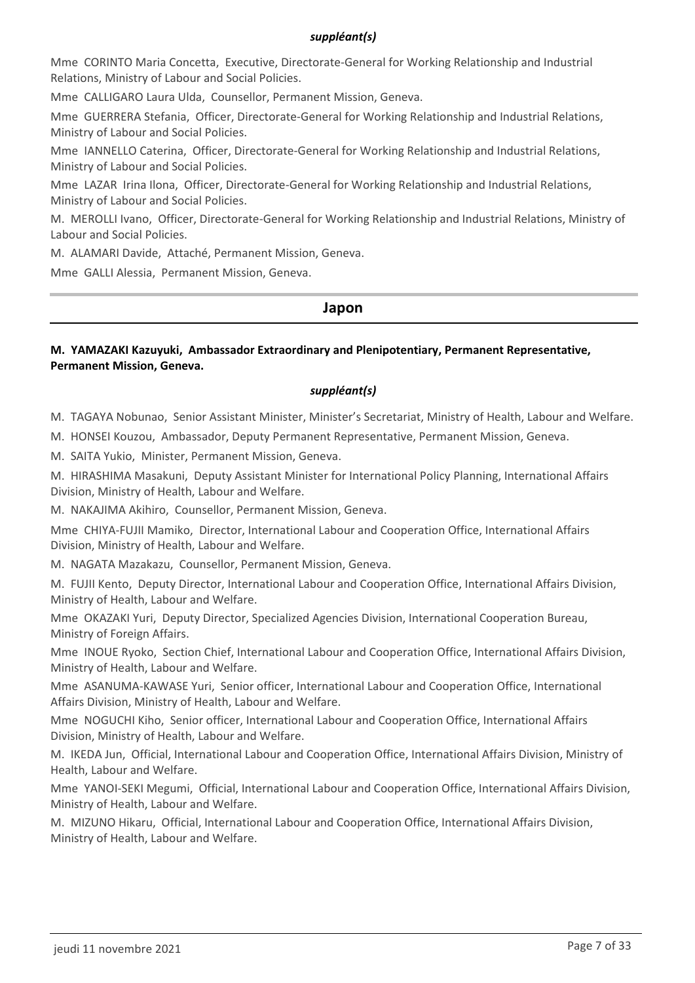#### *suppléant(s)*

Mme CORINTO Maria Concetta, Executive, Directorate-General for Working Relationship and Industrial Relations, Ministry of Labour and Social Policies.

Mme CALLIGARO Laura Ulda, Counsellor, Permanent Mission, Geneva.

Mme GUERRERA Stefania, Officer, Directorate-General for Working Relationship and Industrial Relations, Ministry of Labour and Social Policies.

Mme IANNELLO Caterina, Officer, Directorate-General for Working Relationship and Industrial Relations, Ministry of Labour and Social Policies.

Mme LAZAR Irina Ilona, Officer, Directorate-General for Working Relationship and Industrial Relations, Ministry of Labour and Social Policies.

M. MEROLLI Ivano, Officer, Directorate-General for Working Relationship and Industrial Relations, Ministry of Labour and Social Policies.

M. ALAMARI Davide, Attaché, Permanent Mission, Geneva.

Mme GALLI Alessia, Permanent Mission, Geneva.

#### **Japon**

#### **M. YAMAZAKI Kazuyuki, Ambassador Extraordinary and Plenipotentiary, Permanent Representative, Permanent Mission, Geneva.**

#### *suppléant(s)*

M. TAGAYA Nobunao, Senior Assistant Minister, Minister's Secretariat, Ministry of Health, Labour and Welfare.

M. HONSEI Kouzou, Ambassador, Deputy Permanent Representative, Permanent Mission, Geneva.

M. SAITA Yukio, Minister, Permanent Mission, Geneva.

M. HIRASHIMA Masakuni, Deputy Assistant Minister for International Policy Planning, International Affairs Division, Ministry of Health, Labour and Welfare.

M. NAKAJIMA Akihiro, Counsellor, Permanent Mission, Geneva.

Mme CHIYA-FUJII Mamiko, Director, International Labour and Cooperation Office, International Affairs Division, Ministry of Health, Labour and Welfare.

M. NAGATA Mazakazu, Counsellor, Permanent Mission, Geneva.

M. FUJII Kento, Deputy Director, International Labour and Cooperation Office, International Affairs Division, Ministry of Health, Labour and Welfare.

Mme OKAZAKI Yuri, Deputy Director, Specialized Agencies Division, International Cooperation Bureau, Ministry of Foreign Affairs.

Mme INOUE Ryoko, Section Chief, International Labour and Cooperation Office, International Affairs Division, Ministry of Health, Labour and Welfare.

Mme ASANUMA-KAWASE Yuri, Senior officer, International Labour and Cooperation Office, International Affairs Division, Ministry of Health, Labour and Welfare.

Mme NOGUCHI Kiho, Senior officer, International Labour and Cooperation Office, International Affairs Division, Ministry of Health, Labour and Welfare.

M. IKEDA Jun, Official, International Labour and Cooperation Office, International Affairs Division, Ministry of Health, Labour and Welfare.

Mme YANOI-SEKI Megumi, Official, International Labour and Cooperation Office, International Affairs Division, Ministry of Health, Labour and Welfare.

M. MIZUNO Hikaru, Official, International Labour and Cooperation Office, International Affairs Division, Ministry of Health, Labour and Welfare.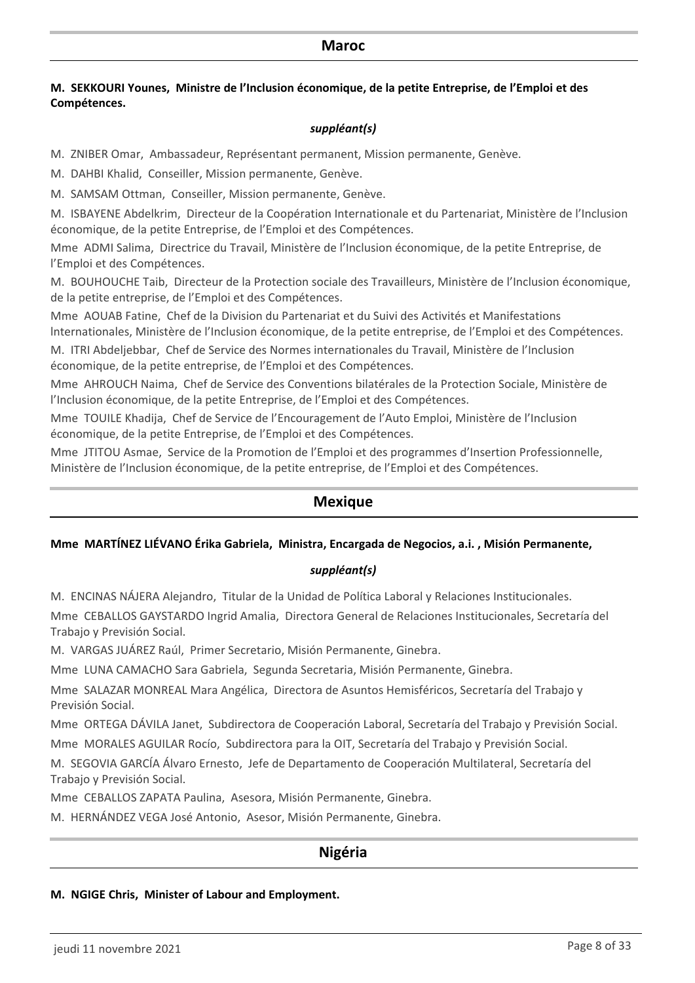#### **M. SEKKOURI Younes, Ministre de l'Inclusion économique, de la petite Entreprise, de l'Emploi et des Compétences.**

#### *suppléant(s)*

M. ZNIBER Omar, Ambassadeur, Représentant permanent, Mission permanente, Genève.

M. DAHBI Khalid, Conseiller, Mission permanente, Genève.

M. SAMSAM Ottman, Conseiller, Mission permanente, Genève.

M. ISBAYENE Abdelkrim, Directeur de la Coopération Internationale et du Partenariat, Ministère de l'Inclusion économique, de la petite Entreprise, de l'Emploi et des Compétences.

Mme ADMI Salima, Directrice du Travail, Ministère de l'Inclusion économique, de la petite Entreprise, de l'Emploi et des Compétences.

M. BOUHOUCHE Taib, Directeur de la Protection sociale des Travailleurs, Ministère de l'Inclusion économique, de la petite entreprise, de l'Emploi et des Compétences.

Mme AOUAB Fatine, Chef de la Division du Partenariat et du Suivi des Activités et Manifestations lnternationales, Ministère de l'Inclusion économique, de la petite entreprise, de l'Emploi et des Compétences.

M. ITRI Abdeljebbar, Chef de Service des Normes internationales du Travail, Ministère de l'Inclusion économique, de la petite entreprise, de l'Emploi et des Compétences.

Mme AHROUCH Naima, Chef de Service des Conventions bilatérales de la Protection Sociale, Ministère de l'Inclusion économique, de la petite Entreprise, de l'Emploi et des Compétences.

Mme TOUILE Khadija, Chef de Service de l'Encouragement de l'Auto Emploi, Ministère de l'Inclusion économique, de la petite Entreprise, de l'Emploi et des Compétences.

Mme JTITOU Asmae, Service de la Promotion de l'Emploi et des programmes d'Insertion Professionnelle, Ministère de l'Inclusion économique, de la petite entreprise, de l'Emploi et des Compétences.

### **Mexique**

#### **Mme MARTÍNEZ LIÉVANO Érika Gabriela, Ministra, Encargada de Negocios, a.i. , Misión Permanente,**

#### *suppléant(s)*

M. ENCINAS NÁJERA Alejandro, Titular de la Unidad de Política Laboral y Relaciones Institucionales.

Mme CEBALLOS GAYSTARDO Ingrid Amalia, Directora General de Relaciones Institucionales, Secretaría del Trabajo y Previsión Social.

M. VARGAS JUÁREZ Raúl, Primer Secretario, Misión Permanente, Ginebra.

Mme LUNA CAMACHO Sara Gabriela, Segunda Secretaria, Misión Permanente, Ginebra.

Mme SALAZAR MONREAL Mara Angélica, Directora de Asuntos Hemisféricos, Secretaría del Trabajo y Previsión Social.

Mme ORTEGA DÁVILA Janet, Subdirectora de Cooperación Laboral, Secretaría del Trabajo y Previsión Social. Mme MORALES AGUILAR Rocío, Subdirectora para la OIT, Secretaría del Trabajo y Previsión Social.

M. SEGOVIA GARCÍA Álvaro Ernesto, Jefe de Departamento de Cooperación Multilateral, Secretaría del Trabajo y Previsión Social.

Mme CEBALLOS ZAPATA Paulina, Asesora, Misión Permanente, Ginebra.

M. HERNÁNDEZ VEGA José Antonio, Asesor, Misión Permanente, Ginebra.

## **Nigéria**

#### **M. NGIGE Chris, Minister of Labour and Employment.**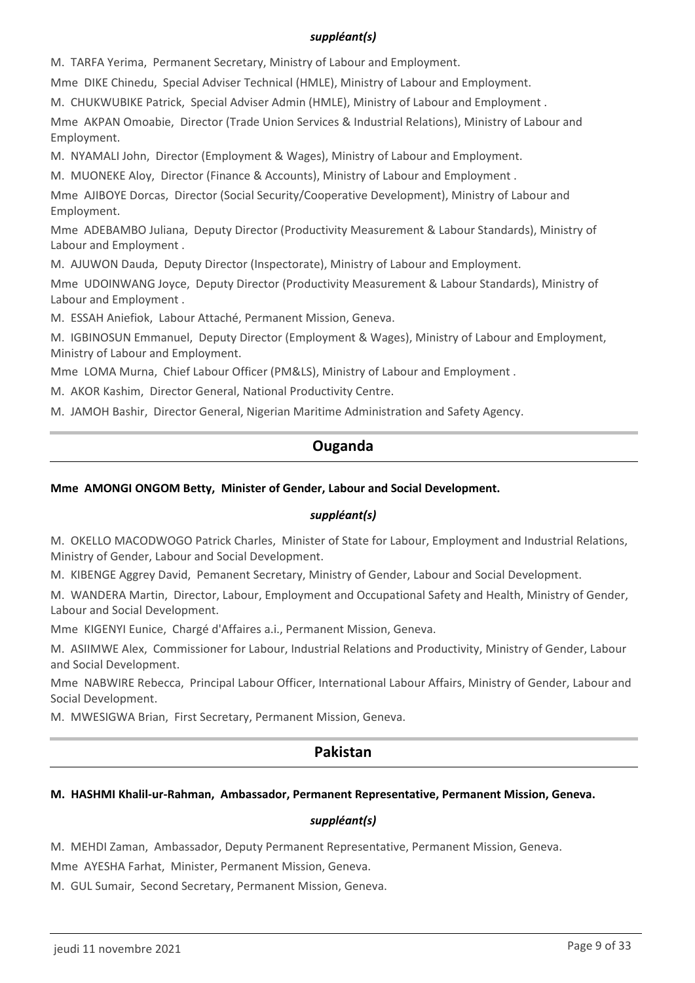#### *suppléant(s)*

M. TARFA Yerima, Permanent Secretary, Ministry of Labour and Employment.

Mme DIKE Chinedu, Special Adviser Technical (HMLE), Ministry of Labour and Employment.

M. CHUKWUBIKE Patrick, Special Adviser Admin (HMLE), Ministry of Labour and Employment .

Mme AKPAN Omoabie, Director (Trade Union Services & Industrial Relations), Ministry of Labour and Employment.

M. NYAMALI John, Director (Employment & Wages), Ministry of Labour and Employment.

M. MUONEKE Aloy, Director (Finance & Accounts), Ministry of Labour and Employment .

Mme AJIBOYE Dorcas, Director (Social Security/Cooperative Development), Ministry of Labour and Employment.

Mme ADEBAMBO Juliana, Deputy Director (Productivity Measurement & Labour Standards), Ministry of Labour and Employment .

M. AJUWON Dauda, Deputy Director (Inspectorate), Ministry of Labour and Employment.

Mme UDOINWANG Joyce, Deputy Director (Productivity Measurement & Labour Standards), Ministry of Labour and Employment .

M. ESSAH Aniefiok, Labour Attaché, Permanent Mission, Geneva.

M. IGBINOSUN Emmanuel, Deputy Director (Employment & Wages), Ministry of Labour and Employment, Ministry of Labour and Employment.

Mme LOMA Murna, Chief Labour Officer (PM&LS), Ministry of Labour and Employment .

M. AKOR Kashim, Director General, National Productivity Centre.

M. JAMOH Bashir, Director General, Nigerian Maritime Administration and Safety Agency.

## **Ouganda**

### **Mme AMONGI ONGOM Betty, Minister of Gender, Labour and Social Development.**

#### *suppléant(s)*

M. OKELLO MACODWOGO Patrick Charles, Minister of State for Labour, Employment and Industrial Relations, Ministry of Gender, Labour and Social Development.

M. KIBENGE Aggrey David, Pemanent Secretary, Ministry of Gender, Labour and Social Development.

M. WANDERA Martin, Director, Labour, Employment and Occupational Safety and Health, Ministry of Gender, Labour and Social Development.

Mme KIGENYI Eunice, Chargé d'Affaires a.i., Permanent Mission, Geneva.

M. ASIIMWE Alex, Commissioner for Labour, Industrial Relations and Productivity, Ministry of Gender, Labour and Social Development.

Mme NABWIRE Rebecca, Principal Labour Officer, International Labour Affairs, Ministry of Gender, Labour and Social Development.

M. MWESIGWA Brian, First Secretary, Permanent Mission, Geneva.

## **Pakistan**

### **M. HASHMI Khalil-ur-Rahman, Ambassador, Permanent Representative, Permanent Mission, Geneva.**

#### *suppléant(s)*

M. MEHDI Zaman, Ambassador, Deputy Permanent Representative, Permanent Mission, Geneva.

Mme AYESHA Farhat, Minister, Permanent Mission, Geneva.

M. GUL Sumair, Second Secretary, Permanent Mission, Geneva.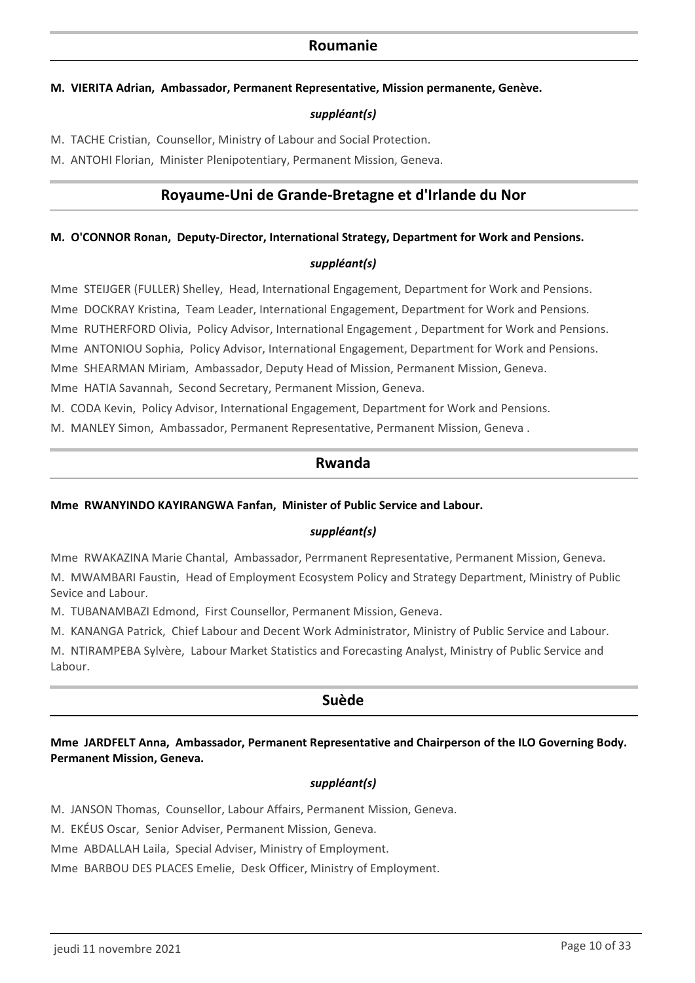### **Roumanie**

#### **M. VIERITA Adrian, Ambassador, Permanent Representative, Mission permanente, Genève.**

#### *suppléant(s)*

M. TACHE Cristian, Counsellor, Ministry of Labour and Social Protection.

M. ANTOHI Florian, Minister Plenipotentiary, Permanent Mission, Geneva.

### **Royaume-Uni de Grande-Bretagne et d'Irlande du Nor**

#### **M. O'CONNOR Ronan, Deputy-Director, International Strategy, Department for Work and Pensions.**

#### *suppléant(s)*

Mme STEIJGER (FULLER) Shelley, Head, International Engagement, Department for Work and Pensions. Mme DOCKRAY Kristina, Team Leader, International Engagement, Department for Work and Pensions. Mme RUTHERFORD Olivia, Policy Advisor, International Engagement , Department for Work and Pensions. Mme ANTONIOU Sophia, Policy Advisor, International Engagement, Department for Work and Pensions. Mme SHEARMAN Miriam, Ambassador, Deputy Head of Mission, Permanent Mission, Geneva. Mme HATIA Savannah, Second Secretary, Permanent Mission, Geneva.

M. CODA Kevin, Policy Advisor, International Engagement, Department for Work and Pensions.

M. MANLEY Simon, Ambassador, Permanent Representative, Permanent Mission, Geneva .

#### **Rwanda**

#### **Mme RWANYINDO KAYIRANGWA Fanfan, Minister of Public Service and Labour.**

#### *suppléant(s)*

Mme RWAKAZINA Marie Chantal, Ambassador, Perrmanent Representative, Permanent Mission, Geneva. M. MWAMBARI Faustin, Head of Employment Ecosystem Policy and Strategy Department, Ministry of Public Sevice and Labour.

M. TUBANAMBAZI Edmond, First Counsellor, Permanent Mission, Geneva.

M. KANANGA Patrick, Chief Labour and Decent Work Administrator, Ministry of Public Service and Labour.

M. NTIRAMPEBA Sylvère, Labour Market Statistics and Forecasting Analyst, Ministry of Public Service and Labour.

#### **Suède**

#### **Mme JARDFELT Anna, Ambassador, Permanent Representative and Chairperson of the ILO Governing Body. Permanent Mission, Geneva.**

#### *suppléant(s)*

M. JANSON Thomas, Counsellor, Labour Affairs, Permanent Mission, Geneva.

M. EKÉUS Oscar, Senior Adviser, Permanent Mission, Geneva.

Mme ABDALLAH Laila, Special Adviser, Ministry of Employment.

Mme BARBOU DES PLACES Emelie, Desk Officer, Ministry of Employment.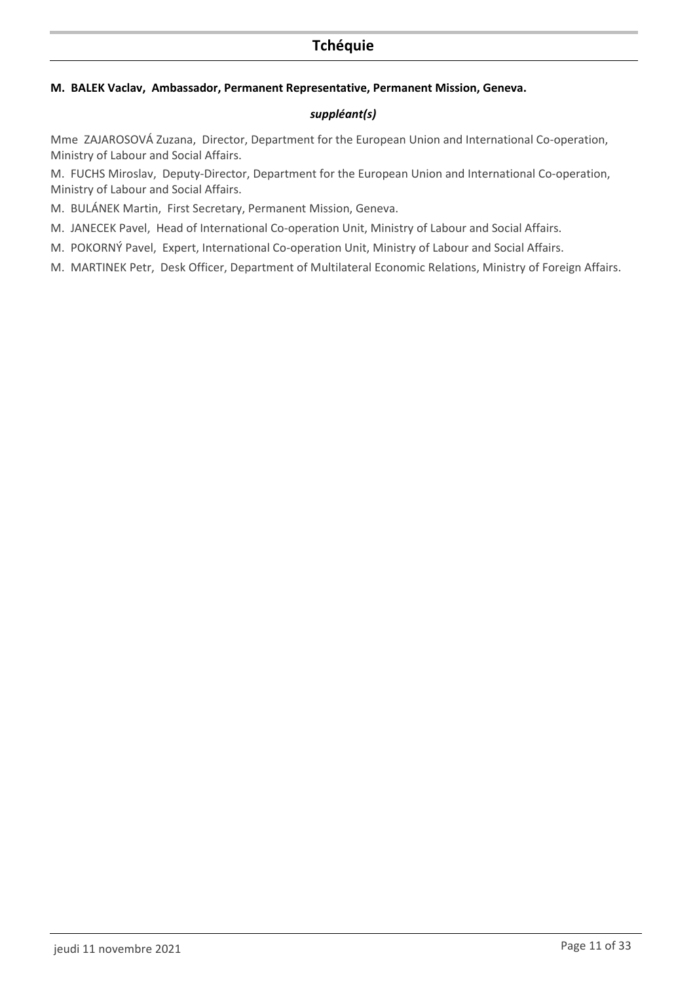## **Tchéquie**

#### **M. BALEK Vaclav, Ambassador, Permanent Representative, Permanent Mission, Geneva.**

#### *suppléant(s)*

Mme ZAJAROSOVÁ Zuzana, Director, Department for the European Union and International Co-operation, Ministry of Labour and Social Affairs.

M. FUCHS Miroslav, Deputy-Director, Department for the European Union and International Co-operation, Ministry of Labour and Social Affairs.

- M. BULÁNEK Martin, First Secretary, Permanent Mission, Geneva.
- M. JANECEK Pavel, Head of International Co-operation Unit, Ministry of Labour and Social Affairs.
- M. POKORNÝ Pavel, Expert, International Co-operation Unit, Ministry of Labour and Social Affairs.

M. MARTINEK Petr, Desk Officer, Department of Multilateral Economic Relations, Ministry of Foreign Affairs.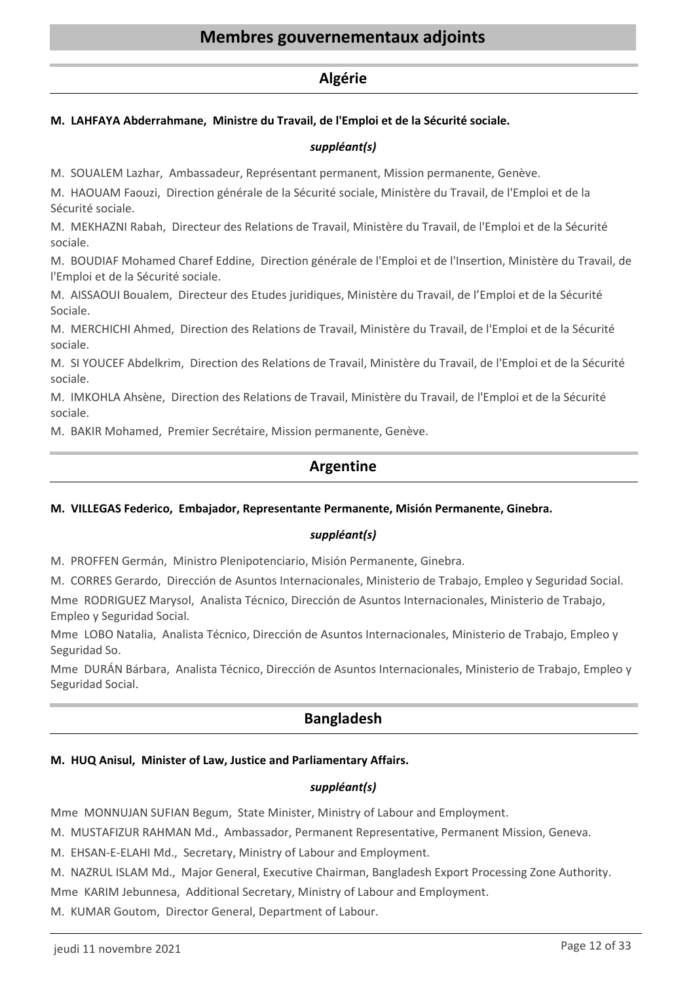## **Membres gouvernementaux adjoints**

#### **Algérie**

#### **M. LAHFAYA Abderrahmane, Ministre du Travail, de l'Emploi et de la Sécurité sociale.**

#### *suppléant(s)*

M. SOUALEM Lazhar, Ambassadeur, Représentant permanent, Mission permanente, Genève.

M. HAOUAM Faouzi, Direction générale de la Sécurité sociale, Ministère du Travail, de l'Emploi et de la Sécurité sociale.

M. MEKHAZNI Rabah, Directeur des Relations de Travail, Ministère du Travail, de l'Emploi et de la Sécurité sociale.

M. BOUDIAF Mohamed Charef Eddine, Direction générale de l'Emploi et de l'Insertion, Ministère du Travail, de l'Emploi et de la Sécurité sociale.

M. AISSAOUI Boualem, Directeur des Etudes juridiques, Ministère du Travail, de l'Emploi et de la Sécurité Sociale.

M. MERCHICHI Ahmed, Direction des Relations de Travail, Ministère du Travail, de l'Emploi et de la Sécurité sociale.

M. SI YOUCEF Abdelkrim, Direction des Relations de Travail, Ministère du Travail, de l'Emploi et de la Sécurité sociale.

M. IMKOHLA Ahsène, Direction des Relations de Travail, Ministère du Travail, de l'Emploi et de la Sécurité sociale.

M. BAKIR Mohamed, Premier Secrétaire, Mission permanente, Genève.

## **Argentine**

#### **M. VILLEGAS Federico, Embajador, Representante Permanente, Misión Permanente, Ginebra.**

#### *suppléant(s)*

M. PROFFEN Germán, Ministro Plenipotenciario, Misión Permanente, Ginebra.

M. CORRES Gerardo, Dirección de Asuntos Internacionales, Ministerio de Trabajo, Empleo y Seguridad Social.

Mme RODRIGUEZ Marysol, Analista Técnico, Dirección de Asuntos Internacionales, Ministerio de Trabajo, Empleo y Seguridad Social.

Mme LOBO Natalia, Analista Técnico, Dirección de Asuntos Internacionales, Ministerio de Trabajo, Empleo y Seguridad So.

Mme DURÁN Bárbara, Analista Técnico, Dirección de Asuntos Internacionales, Ministerio de Trabajo, Empleo y Seguridad Social.

## **Bangladesh**

#### **M. HUQ Anisul, Minister of Law, Justice and Parliamentary Affairs.**

#### *suppléant(s)*

Mme MONNUJAN SUFIAN Begum, State Minister, Ministry of Labour and Employment.

M. MUSTAFIZUR RAHMAN Md., Ambassador, Permanent Representative, Permanent Mission, Geneva.

M. EHSAN-E-ELAHI Md., Secretary, Ministry of Labour and Employment.

M. NAZRUL ISLAM Md., Major General, Executive Chairman, Bangladesh Export Processing Zone Authority.

Mme KARIM Jebunnesa, Additional Secretary, Ministry of Labour and Employment.

M. KUMAR Goutom, Director General, Department of Labour.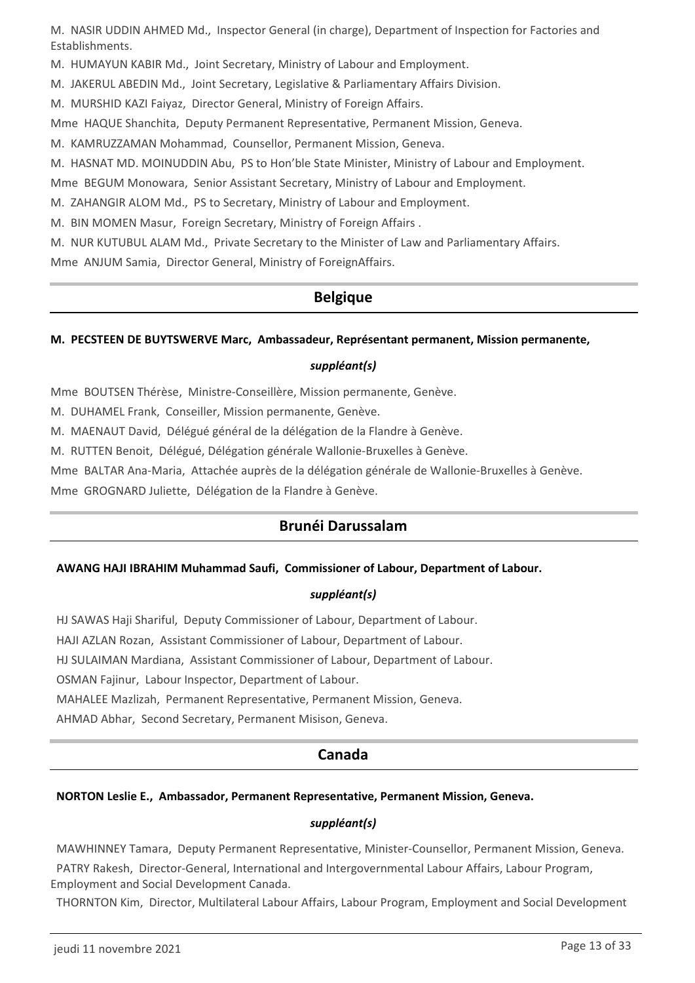M. NASIR UDDIN AHMED Md., Inspector General (in charge), Department of Inspection for Factories and Establishments.

M. HUMAYUN KABIR Md., Joint Secretary, Ministry of Labour and Employment.

M. JAKERUL ABEDIN Md., Joint Secretary, Legislative & Parliamentary Affairs Division.

M. MURSHID KAZI Faiyaz, Director General, Ministry of Foreign Affairs.

Mme HAQUE Shanchita, Deputy Permanent Representative, Permanent Mission, Geneva.

M. KAMRUZZAMAN Mohammad, Counsellor, Permanent Mission, Geneva.

M. HASNAT MD. MOINUDDIN Abu, PS to Hon'ble State Minister, Ministry of Labour and Employment.

Mme BEGUM Monowara, Senior Assistant Secretary, Ministry of Labour and Employment.

M. ZAHANGIR ALOM Md., PS to Secretary, Ministry of Labour and Employment.

M. BIN MOMEN Masur, Foreign Secretary, Ministry of Foreign Affairs .

M. NUR KUTUBUL ALAM Md., Private Secretary to the Minister of Law and Parliamentary Affairs.

Mme ANJUM Samia, Director General, Ministry of ForeignAffairs.

## **Belgique**

#### **M. PECSTEEN DE BUYTSWERVE Marc, Ambassadeur, Représentant permanent, Mission permanente,**

#### *suppléant(s)*

Mme BOUTSEN Thérèse, Ministre-Conseillère, Mission permanente, Genève.

M. DUHAMEL Frank, Conseiller, Mission permanente, Genève.

M. MAENAUT David, Délégué général de la délégation de la Flandre à Genève.

M. RUTTEN Benoit, Délégué, Délégation générale Wallonie-Bruxelles à Genève.

Mme BALTAR Ana-Maria, Attachée auprès de la délégation générale de Wallonie-Bruxelles à Genève.

Mme GROGNARD Juliette, Délégation de la Flandre à Genève.

## **Brunéi Darussalam**

#### **AWANG HAJI IBRAHIM Muhammad Saufi, Commissioner of Labour, Department of Labour.**

#### *suppléant(s)*

HJ SAWAS Haji Shariful, Deputy Commissioner of Labour, Department of Labour.

HAJI AZLAN Rozan, Assistant Commissioner of Labour, Department of Labour.

HJ SULAIMAN Mardiana, Assistant Commissioner of Labour, Department of Labour.

OSMAN Fajinur, Labour Inspector, Department of Labour.

MAHALEE Mazlizah, Permanent Representative, Permanent Mission, Geneva.

AHMAD Abhar, Second Secretary, Permanent Misison, Geneva.

## **Canada**

#### **NORTON Leslie E., Ambassador, Permanent Representative, Permanent Mission, Geneva.**

#### *suppléant(s)*

MAWHINNEY Tamara, Deputy Permanent Representative, Minister-Counsellor, Permanent Mission, Geneva.

 PATRY Rakesh, Director-General, International and Intergovernmental Labour Affairs, Labour Program, Employment and Social Development Canada.

THORNTON Kim, Director, Multilateral Labour Affairs, Labour Program, Employment and Social Development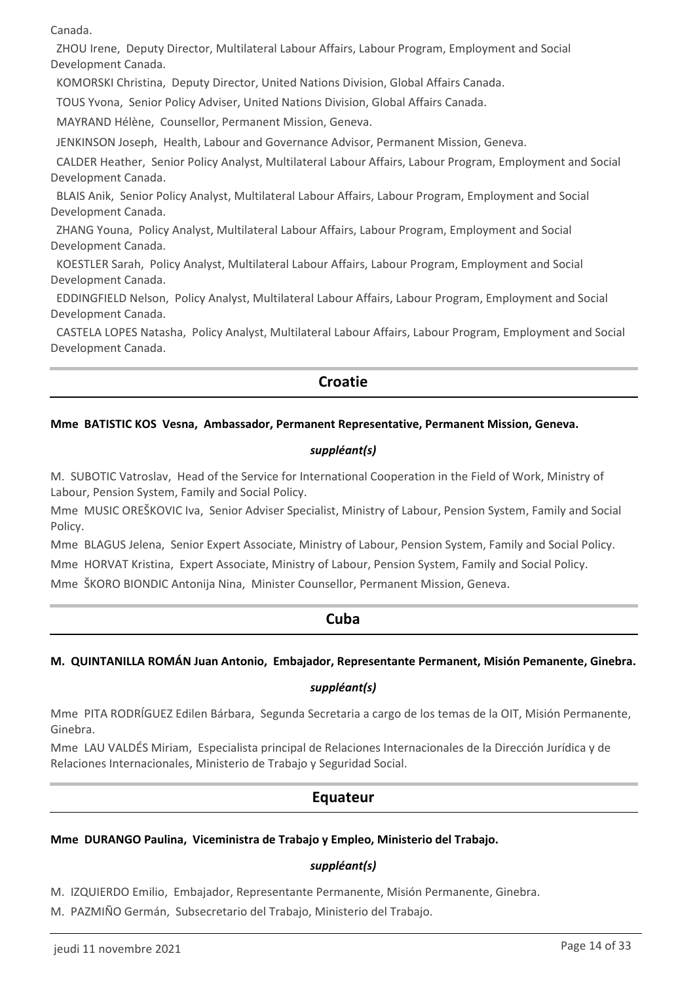Canada.

 ZHOU Irene, Deputy Director, Multilateral Labour Affairs, Labour Program, Employment and Social Development Canada.

KOMORSKI Christina, Deputy Director, United Nations Division, Global Affairs Canada.

TOUS Yvona, Senior Policy Adviser, United Nations Division, Global Affairs Canada.

MAYRAND Hélène, Counsellor, Permanent Mission, Geneva.

JENKINSON Joseph, Health, Labour and Governance Advisor, Permanent Mission, Geneva.

 CALDER Heather, Senior Policy Analyst, Multilateral Labour Affairs, Labour Program, Employment and Social Development Canada.

 BLAIS Anik, Senior Policy Analyst, Multilateral Labour Affairs, Labour Program, Employment and Social Development Canada.

 ZHANG Youna, Policy Analyst, Multilateral Labour Affairs, Labour Program, Employment and Social Development Canada.

 KOESTLER Sarah, Policy Analyst, Multilateral Labour Affairs, Labour Program, Employment and Social Development Canada.

 EDDINGFIELD Nelson, Policy Analyst, Multilateral Labour Affairs, Labour Program, Employment and Social Development Canada.

 CASTELA LOPES Natasha, Policy Analyst, Multilateral Labour Affairs, Labour Program, Employment and Social Development Canada.

## **Croatie**

#### **Mme BATISTIC KOS Vesna, Ambassador, Permanent Representative, Permanent Mission, Geneva.**

#### *suppléant(s)*

M. SUBOTIC Vatroslav, Head of the Service for International Cooperation in the Field of Work, Ministry of Labour, Pension System, Family and Social Policy.

Mme MUSIC OREŠKOVIC Iva, Senior Adviser Specialist, Ministry of Labour, Pension System, Family and Social Policy.

Mme BLAGUS Jelena, Senior Expert Associate, Ministry of Labour, Pension System, Family and Social Policy.

Mme HORVAT Kristina, Expert Associate, Ministry of Labour, Pension System, Family and Social Policy.

Mme ŠKORO BIONDIC Antonija Nina, Minister Counsellor, Permanent Mission, Geneva.

#### **Cuba**

#### **M. QUINTANILLA ROMÁN Juan Antonio, Embajador, Representante Permanent, Misión Pemanente, Ginebra.**

#### *suppléant(s)*

Mme PITA RODRÍGUEZ Edilen Bárbara, Segunda Secretaria a cargo de los temas de la OIT, Misión Permanente, Ginebra.

Mme LAU VALDÉS Miriam, Especialista principal de Relaciones Internacionales de la Dirección Jurídica y de Relaciones Internacionales, Ministerio de Trabajo y Seguridad Social.

### **Equateur**

#### **Mme DURANGO Paulina, Viceministra de Trabajo y Empleo, Ministerio del Trabajo.**

#### *suppléant(s)*

M. IZQUIERDO Emilio, Embajador, Representante Permanente, Misión Permanente, Ginebra.

M. PAZMIÑO Germán, Subsecretario del Trabajo, Ministerio del Trabajo.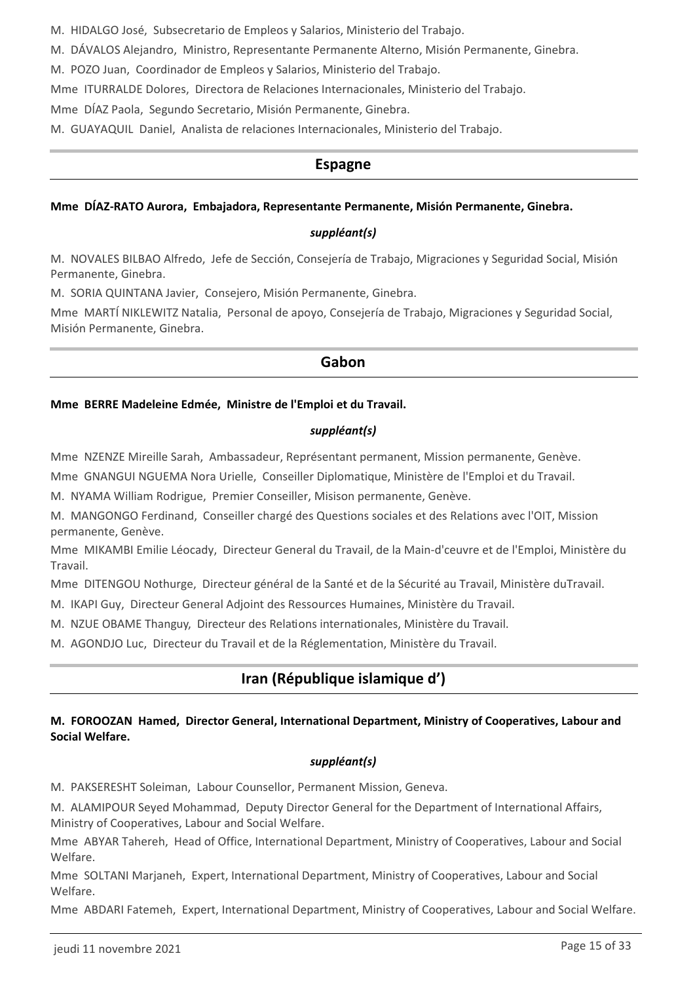M. HIDALGO José, Subsecretario de Empleos y Salarios, Ministerio del Trabajo.

M. DÁVALOS Alejandro, Ministro, Representante Permanente Alterno, Misión Permanente, Ginebra.

M. POZO Juan, Coordinador de Empleos y Salarios, Ministerio del Trabajo.

Mme ITURRALDE Dolores, Directora de Relaciones Internacionales, Ministerio del Trabajo.

Mme DÍAZ Paola, Segundo Secretario, Misión Permanente, Ginebra.

M. GUAYAQUIL Daniel, Analista de relaciones Internacionales, Ministerio del Trabajo.

### **Espagne**

#### **Mme DÍAZ-RATO Aurora, Embajadora, Representante Permanente, Misión Permanente, Ginebra.**

#### *suppléant(s)*

M. NOVALES BILBAO Alfredo, Jefe de Sección, Consejería de Trabajo, Migraciones y Seguridad Social, Misión Permanente, Ginebra.

M. SORIA QUINTANA Javier, Consejero, Misión Permanente, Ginebra.

Mme MARTÍ NIKLEWITZ Natalia, Personal de apoyo, Consejería de Trabajo, Migraciones y Seguridad Social, Misión Permanente, Ginebra.

### **Gabon**

#### **Mme BERRE Madeleine Edmée, Ministre de l'Emploi et du Travail.**

#### *suppléant(s)*

Mme NZENZE Mireille Sarah, Ambassadeur, Représentant permanent, Mission permanente, Genève.

Mme GNANGUI NGUEMA Nora Urielle, Conseiller Diplomatique, Ministère de l'Emploi et du Travail.

M. NYAMA William Rodrigue, Premier Conseiller, Misison permanente, Genève.

M. MANGONGO Ferdinand, Conseiller chargé des Questions sociales et des Relations avec l'OIT, Mission permanente, Genève.

Mme MIKAMBI Emilie Léocady, Directeur General du Travail, de la Main-d'ceuvre et de l'Emploi, Ministère du Travail.

Mme DITENGOU Nothurge, Directeur général de la Santé et de la Sécurité au Travail, Ministère duTravail.

M. IKAPI Guy, Directeur General Adjoint des Ressources Humaines, Ministère du Travail.

M. NZUE OBAME Thanguy, Directeur des Relations internationales, Ministère du Travail.

M. AGONDJO Luc, Directeur du Travail et de la Réglementation, Ministère du Travail.

## **Iran (République islamique d')**

#### **M. FOROOZAN Hamed, Director General, International Department, Ministry of Cooperatives, Labour and Social Welfare.**

#### *suppléant(s)*

M. PAKSERESHT Soleiman, Labour Counsellor, Permanent Mission, Geneva.

M. ALAMIPOUR Seyed Mohammad, Deputy Director General for the Department of International Affairs, Ministry of Cooperatives, Labour and Social Welfare.

Mme ABYAR Tahereh, Head of Office, International Department, Ministry of Cooperatives, Labour and Social Welfare.

Mme SOLTANI Marjaneh, Expert, International Department, Ministry of Cooperatives, Labour and Social Welfare.

Mme ABDARI Fatemeh, Expert, International Department, Ministry of Cooperatives, Labour and Social Welfare.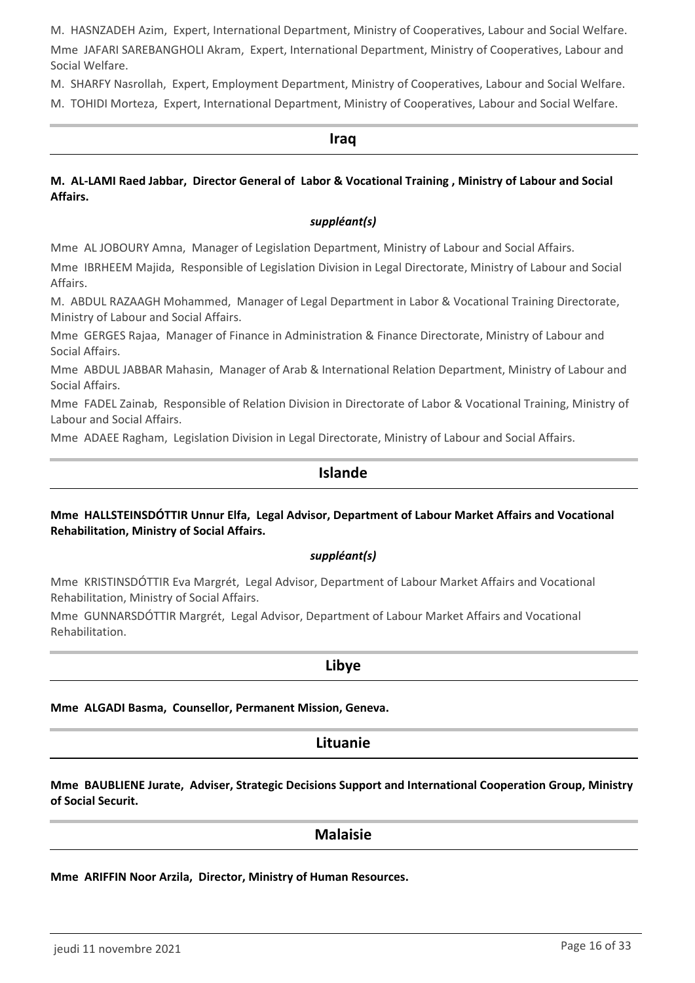M. HASNZADEH Azim, Expert, International Department, Ministry of Cooperatives, Labour and Social Welfare.

Mme JAFARI SAREBANGHOLI Akram, Expert, International Department, Ministry of Cooperatives, Labour and Social Welfare.

M. SHARFY Nasrollah, Expert, Employment Department, Ministry of Cooperatives, Labour and Social Welfare.

M. TOHIDI Morteza, Expert, International Department, Ministry of Cooperatives, Labour and Social Welfare.

#### **Iraq**

#### **M. AL-LAMI Raed Jabbar, Director General of Labor & Vocational Training , Ministry of Labour and Social Affairs.**

#### *suppléant(s)*

Mme AL JOBOURY Amna, Manager of Legislation Department, Ministry of Labour and Social Affairs.

Mme IBRHEEM Majida, Responsible of Legislation Division in Legal Directorate, Ministry of Labour and Social Affairs.

M. ABDUL RAZAAGH Mohammed, Manager of Legal Department in Labor & Vocational Training Directorate, Ministry of Labour and Social Affairs.

Mme GERGES Rajaa, Manager of Finance in Administration & Finance Directorate, Ministry of Labour and Social Affairs.

Mme ABDUL JABBAR Mahasin, Manager of Arab & International Relation Department, Ministry of Labour and Social Affairs.

Mme FADEL Zainab, Responsible of Relation Division in Directorate of Labor & Vocational Training, Ministry of Labour and Social Affairs.

Mme ADAEE Ragham, Legislation Division in Legal Directorate, Ministry of Labour and Social Affairs.

### **Islande**

#### **Mme HALLSTEINSDÓTTIR Unnur Elfa, Legal Advisor, Department of Labour Market Affairs and Vocational Rehabilitation, Ministry of Social Affairs.**

#### *suppléant(s)*

Mme KRISTINSDÓTTIR Eva Margrét, Legal Advisor, Department of Labour Market Affairs and Vocational Rehabilitation, Ministry of Social Affairs.

Mme GUNNARSDÓTTIR Margrét, Legal Advisor, Department of Labour Market Affairs and Vocational Rehabilitation.

#### **Libye**

**Mme ALGADI Basma, Counsellor, Permanent Mission, Geneva.**

### **Lituanie**

**Mme BAUBLIENE Jurate, Adviser, Strategic Decisions Support and International Cooperation Group, Ministry of Social Securit.**

#### **Malaisie**

**Mme ARIFFIN Noor Arzila, Director, Ministry of Human Resources.**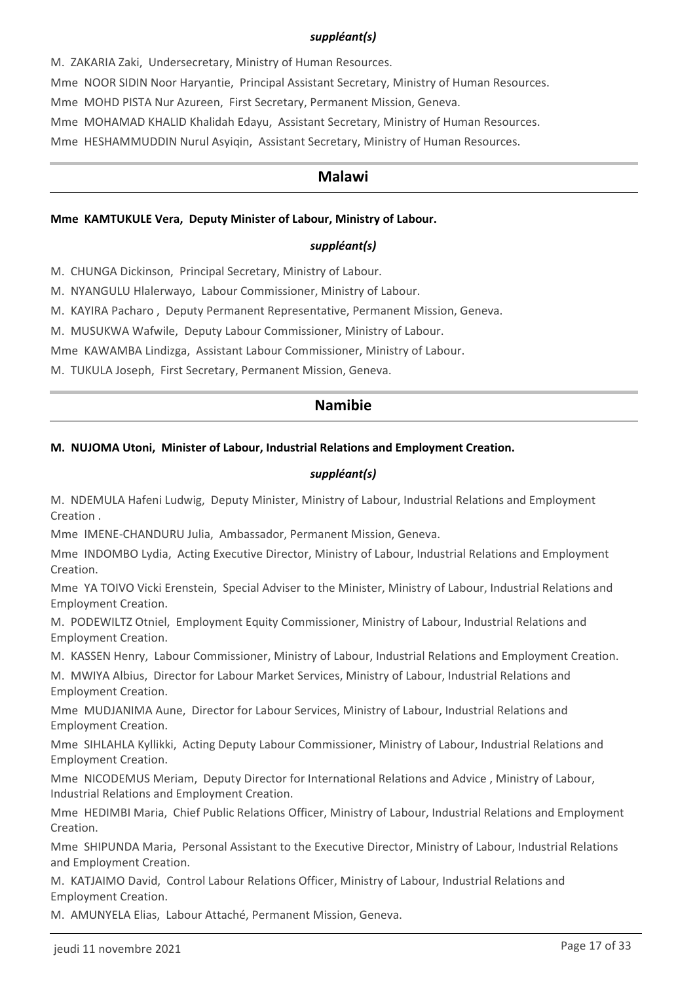#### *suppléant(s)*

M. ZAKARIA Zaki, Undersecretary, Ministry of Human Resources.

Mme NOOR SIDIN Noor Haryantie, Principal Assistant Secretary, Ministry of Human Resources.

Mme MOHD PISTA Nur Azureen, First Secretary, Permanent Mission, Geneva.

Mme MOHAMAD KHALID Khalidah Edayu, Assistant Secretary, Ministry of Human Resources.

Mme HESHAMMUDDIN Nurul Asyiqin, Assistant Secretary, Ministry of Human Resources.

#### **Malawi**

#### **Mme KAMTUKULE Vera, Deputy Minister of Labour, Ministry of Labour.**

#### *suppléant(s)*

M. CHUNGA Dickinson, Principal Secretary, Ministry of Labour.

M. NYANGULU Hlalerwayo, Labour Commissioner, Ministry of Labour.

M. KAYIRA Pacharo , Deputy Permanent Representative, Permanent Mission, Geneva.

M. MUSUKWA Wafwile, Deputy Labour Commissioner, Ministry of Labour.

Mme KAWAMBA Lindizga, Assistant Labour Commissioner, Ministry of Labour.

M. TUKULA Joseph, First Secretary, Permanent Mission, Geneva.

### **Namibie**

#### **M. NUJOMA Utoni, Minister of Labour, Industrial Relations and Employment Creation.**

#### *suppléant(s)*

M. NDEMULA Hafeni Ludwig, Deputy Minister, Ministry of Labour, Industrial Relations and Employment Creation .

Mme IMENE-CHANDURU Julia, Ambassador, Permanent Mission, Geneva.

Mme INDOMBO Lydia, Acting Executive Director, Ministry of Labour, Industrial Relations and Employment Creation.

Mme YA TOIVO Vicki Erenstein, Special Adviser to the Minister, Ministry of Labour, Industrial Relations and Employment Creation.

M. PODEWILTZ Otniel, Employment Equity Commissioner, Ministry of Labour, Industrial Relations and Employment Creation.

M. KASSEN Henry, Labour Commissioner, Ministry of Labour, Industrial Relations and Employment Creation.

M. MWIYA Albius, Director for Labour Market Services, Ministry of Labour, Industrial Relations and Employment Creation.

Mme MUDJANIMA Aune, Director for Labour Services, Ministry of Labour, Industrial Relations and Employment Creation.

Mme SIHLAHLA Kyllikki, Acting Deputy Labour Commissioner, Ministry of Labour, Industrial Relations and Employment Creation.

Mme NICODEMUS Meriam, Deputy Director for International Relations and Advice , Ministry of Labour, Industrial Relations and Employment Creation.

Mme HEDIMBI Maria, Chief Public Relations Officer, Ministry of Labour, Industrial Relations and Employment Creation.

Mme SHIPUNDA Maria, Personal Assistant to the Executive Director, Ministry of Labour, Industrial Relations and Employment Creation.

M. KATJAIMO David, Control Labour Relations Officer, Ministry of Labour, Industrial Relations and Employment Creation.

M. AMUNYELA Elias, Labour Attaché, Permanent Mission, Geneva.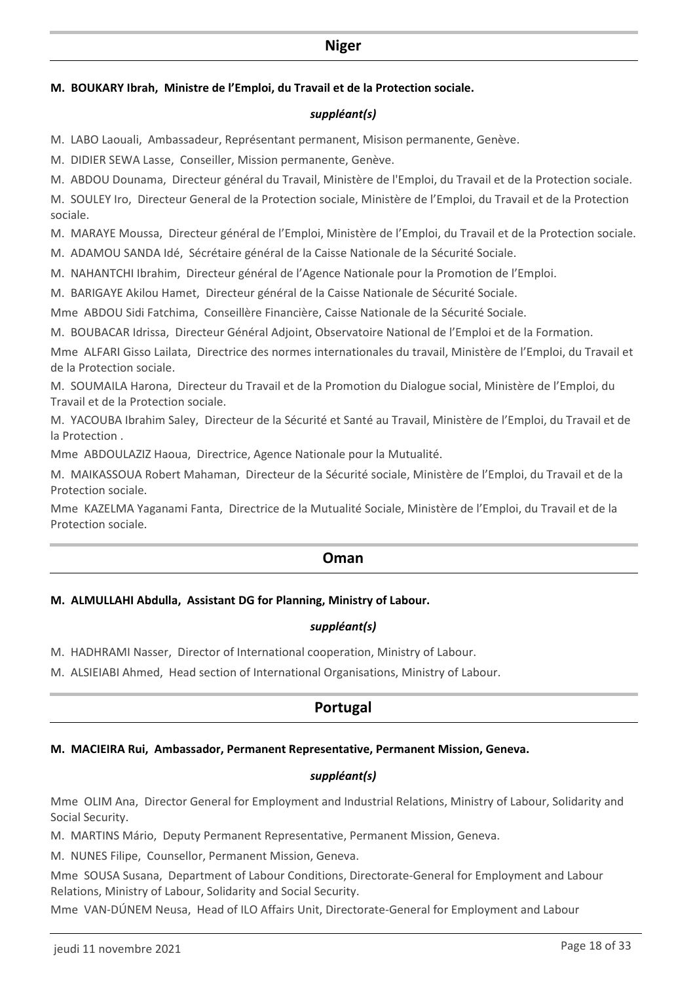#### **Niger**

#### **M. BOUKARY Ibrah, Ministre de l'Emploi, du Travail et de la Protection sociale.**

#### *suppléant(s)*

M. LABO Laouali, Ambassadeur, Représentant permanent, Misison permanente, Genève.

M. DIDIER SEWA Lasse, Conseiller, Mission permanente, Genève.

M. ABDOU Dounama, Directeur général du Travail, Ministère de l'Emploi, du Travail et de la Protection sociale.

M. SOULEY Iro, Directeur General de la Protection sociale, Ministère de l'Emploi, du Travail et de la Protection sociale.

M. MARAYE Moussa, Directeur général de l'Emploi, Ministère de l'Emploi, du Travail et de la Protection sociale.

M. ADAMOU SANDA Idé, Sécrétaire général de la Caisse Nationale de la Sécurité Sociale.

M. NAHANTCHI Ibrahim, Directeur général de l'Agence Nationale pour la Promotion de l'Emploi.

M. BARIGAYE Akilou Hamet, Directeur général de la Caisse Nationale de Sécurité Sociale.

Mme ABDOU Sidi Fatchima, Conseillère Financière, Caisse Nationale de la Sécurité Sociale.

M. BOUBACAR Idrissa, Directeur Général Adjoint, Observatoire National de l'Emploi et de la Formation.

Mme ALFARI Gisso Lailata, Directrice des normes internationales du travail, Ministère de l'Emploi, du Travail et de la Protection sociale.

M. SOUMAILA Harona, Directeur du Travail et de la Promotion du Dialogue social, Ministère de l'Emploi, du Travail et de la Protection sociale.

M. YACOUBA Ibrahim Saley, Directeur de la Sécurité et Santé au Travail, Ministère de l'Emploi, du Travail et de la Protection .

Mme ABDOULAZIZ Haoua, Directrice, Agence Nationale pour la Mutualité.

M. MAIKASSOUA Robert Mahaman, Directeur de la Sécurité sociale, Ministère de l'Emploi, du Travail et de la Protection sociale.

Mme KAZELMA Yaganami Fanta, Directrice de la Mutualité Sociale, Ministère de l'Emploi, du Travail et de la Protection sociale.

#### **Oman**

#### **M. ALMULLAHI Abdulla, Assistant DG for Planning, Ministry of Labour.**

#### *suppléant(s)*

M. HADHRAMI Nasser, Director of International cooperation, Ministry of Labour.

M. ALSIEIABI Ahmed, Head section of International Organisations, Ministry of Labour.

## **Portugal**

#### **M. MACIEIRA Rui, Ambassador, Permanent Representative, Permanent Mission, Geneva.**

#### *suppléant(s)*

Mme OLIM Ana, Director General for Employment and Industrial Relations, Ministry of Labour, Solidarity and Social Security.

M. MARTINS Mário, Deputy Permanent Representative, Permanent Mission, Geneva.

M. NUNES Filipe, Counsellor, Permanent Mission, Geneva.

Mme SOUSA Susana, Department of Labour Conditions, Directorate-General for Employment and Labour Relations, Ministry of Labour, Solidarity and Social Security.

Mme VAN-DÚNEM Neusa, Head of ILO Affairs Unit, Directorate-General for Employment and Labour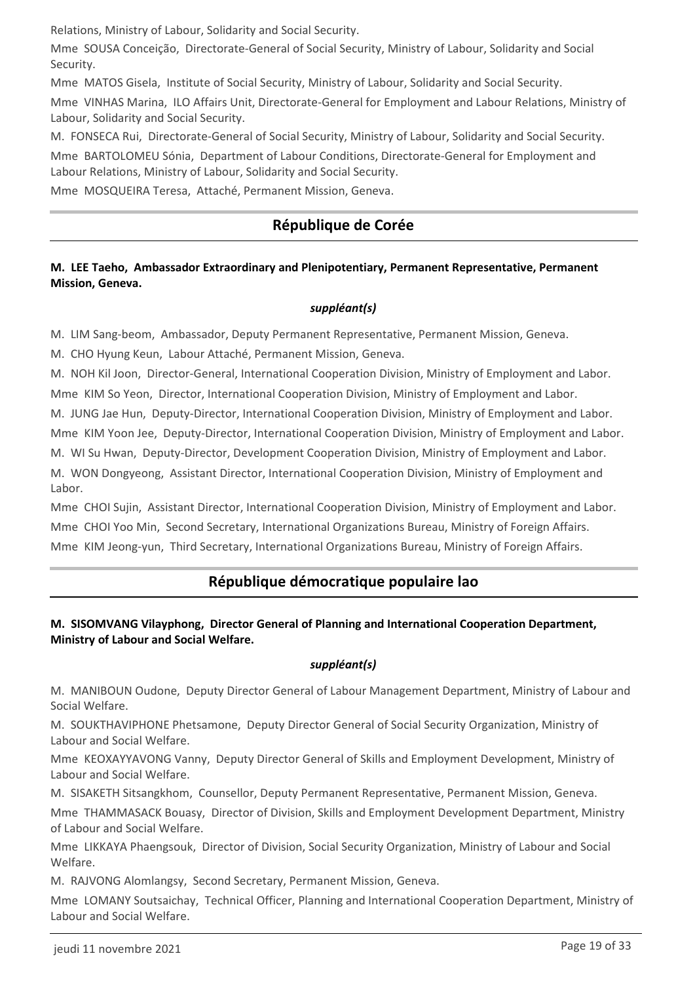Relations, Ministry of Labour, Solidarity and Social Security.

Mme SOUSA Conceição, Directorate-General of Social Security, Ministry of Labour, Solidarity and Social Security.

Mme MATOS Gisela, Institute of Social Security, Ministry of Labour, Solidarity and Social Security.

Mme VINHAS Marina, ILO Affairs Unit, Directorate-General for Employment and Labour Relations, Ministry of Labour, Solidarity and Social Security.

M. FONSECA Rui, Directorate-General of Social Security, Ministry of Labour, Solidarity and Social Security.

Mme BARTOLOMEU Sónia, Department of Labour Conditions, Directorate-General for Employment and Labour Relations, Ministry of Labour, Solidarity and Social Security.

Mme MOSQUEIRA Teresa, Attaché, Permanent Mission, Geneva.

## **République de Corée**

#### **M. LEE Taeho, Ambassador Extraordinary and Plenipotentiary, Permanent Representative, Permanent Mission, Geneva.**

### *suppléant(s)*

M. LIM Sang-beom, Ambassador, Deputy Permanent Representative, Permanent Mission, Geneva.

M. CHO Hyung Keun, Labour Attaché, Permanent Mission, Geneva.

M. NOH Kil Joon, Director-General, International Cooperation Division, Ministry of Employment and Labor. Mme KIM So Yeon, Director, International Cooperation Division, Ministry of Employment and Labor.

M. JUNG Jae Hun, Deputy-Director, International Cooperation Division, Ministry of Employment and Labor.

Mme KIM Yoon Jee, Deputy-Director, International Cooperation Division, Ministry of Employment and Labor.

M. WI Su Hwan, Deputy-Director, Development Cooperation Division, Ministry of Employment and Labor.

M. WON Dongyeong, Assistant Director, International Cooperation Division, Ministry of Employment and Labor.

Mme CHOI Sujin, Assistant Director, International Cooperation Division, Ministry of Employment and Labor. Mme CHOI Yoo Min, Second Secretary, International Organizations Bureau, Ministry of Foreign Affairs. Mme KIM Jeong-yun, Third Secretary, International Organizations Bureau, Ministry of Foreign Affairs.

## **République démocratique populaire lao**

### **M. SISOMVANG Vilayphong, Director General of Planning and International Cooperation Department, Ministry of Labour and Social Welfare.**

#### *suppléant(s)*

M. MANIBOUN Oudone, Deputy Director General of Labour Management Department, Ministry of Labour and Social Welfare.

M. SOUKTHAVIPHONE Phetsamone, Deputy Director General of Social Security Organization, Ministry of Labour and Social Welfare.

Mme KEOXAYYAVONG Vanny, Deputy Director General of Skills and Employment Development, Ministry of Labour and Social Welfare.

M. SISAKETH Sitsangkhom, Counsellor, Deputy Permanent Representative, Permanent Mission, Geneva.

Mme THAMMASACK Bouasy, Director of Division, Skills and Employment Development Department, Ministry of Labour and Social Welfare.

Mme LIKKAYA Phaengsouk, Director of Division, Social Security Organization, Ministry of Labour and Social Welfare.

M. RAJVONG Alomlangsy, Second Secretary, Permanent Mission, Geneva.

Mme LOMANY Soutsaichay, Technical Officer, Planning and International Cooperation Department, Ministry of Labour and Social Welfare.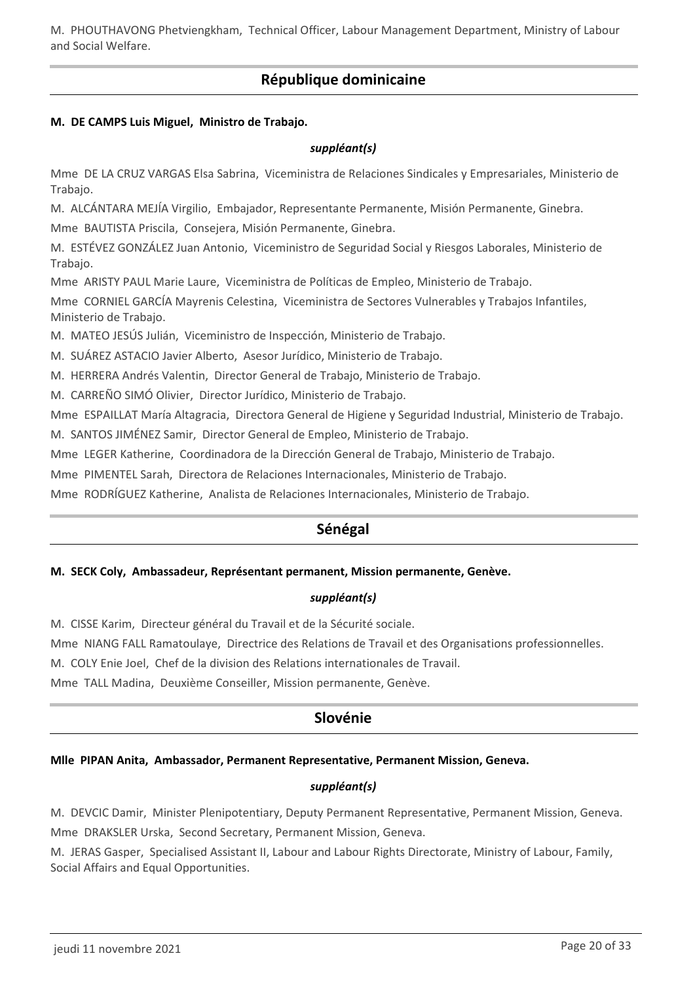M. PHOUTHAVONG Phetviengkham, Technical Officer, Labour Management Department, Ministry of Labour and Social Welfare.

## **République dominicaine**

#### **M. DE CAMPS Luis Miguel, Ministro de Trabajo.**

#### *suppléant(s)*

Mme DE LA CRUZ VARGAS Elsa Sabrina, Viceministra de Relaciones Sindicales y Empresariales, Ministerio de Trabajo.

M. ALCÁNTARA MEJÍA Virgilio, Embajador, Representante Permanente, Misión Permanente, Ginebra.

Mme BAUTISTA Priscila, Consejera, Misión Permanente, Ginebra.

M. ESTÉVEZ GONZÁLEZ Juan Antonio, Viceministro de Seguridad Social y Riesgos Laborales, Ministerio de Trabajo.

Mme ARISTY PAUL Marie Laure, Viceministra de Políticas de Empleo, Ministerio de Trabajo.

Mme CORNIEL GARCÍA Mayrenis Celestina, Viceministra de Sectores Vulnerables y Trabajos Infantiles, Ministerio de Trabajo.

M. MATEO JESÚS Julián, Viceministro de Inspección, Ministerio de Trabajo.

M. SUÁREZ ASTACIO Javier Alberto, Asesor Jurídico, Ministerio de Trabajo.

M. HERRERA Andrés Valentin, Director General de Trabajo, Ministerio de Trabajo.

M. CARREÑO SIMÓ Olivier, Director Jurídico, Ministerio de Trabajo.

Mme ESPAILLAT María Altagracia, Directora General de Higiene y Seguridad Industrial, Ministerio de Trabajo.

M. SANTOS JIMÉNEZ Samir, Director General de Empleo, Ministerio de Trabajo.

Mme LEGER Katherine, Coordinadora de la Dirección General de Trabajo, Ministerio de Trabajo.

Mme PIMENTEL Sarah, Directora de Relaciones Internacionales, Ministerio de Trabajo.

Mme RODRÍGUEZ Katherine, Analista de Relaciones Internacionales, Ministerio de Trabajo.

## **Sénégal**

#### **M. SECK Coly, Ambassadeur, Représentant permanent, Mission permanente, Genève.**

#### *suppléant(s)*

M. CISSE Karim, Directeur général du Travail et de la Sécurité sociale.

Mme NIANG FALL Ramatoulaye, Directrice des Relations de Travail et des Organisations professionnelles.

M. COLY Enie Joel, Chef de la division des Relations internationales de Travail.

Mme TALL Madina, Deuxième Conseiller, Mission permanente, Genève.

## **Slovénie**

#### **Mlle PIPAN Anita, Ambassador, Permanent Representative, Permanent Mission, Geneva.**

#### *suppléant(s)*

M. DEVCIC Damir, Minister Plenipotentiary, Deputy Permanent Representative, Permanent Mission, Geneva. Mme DRAKSLER Urska, Second Secretary, Permanent Mission, Geneva.

M. JERAS Gasper, Specialised Assistant II, Labour and Labour Rights Directorate, Ministry of Labour, Family, Social Affairs and Equal Opportunities.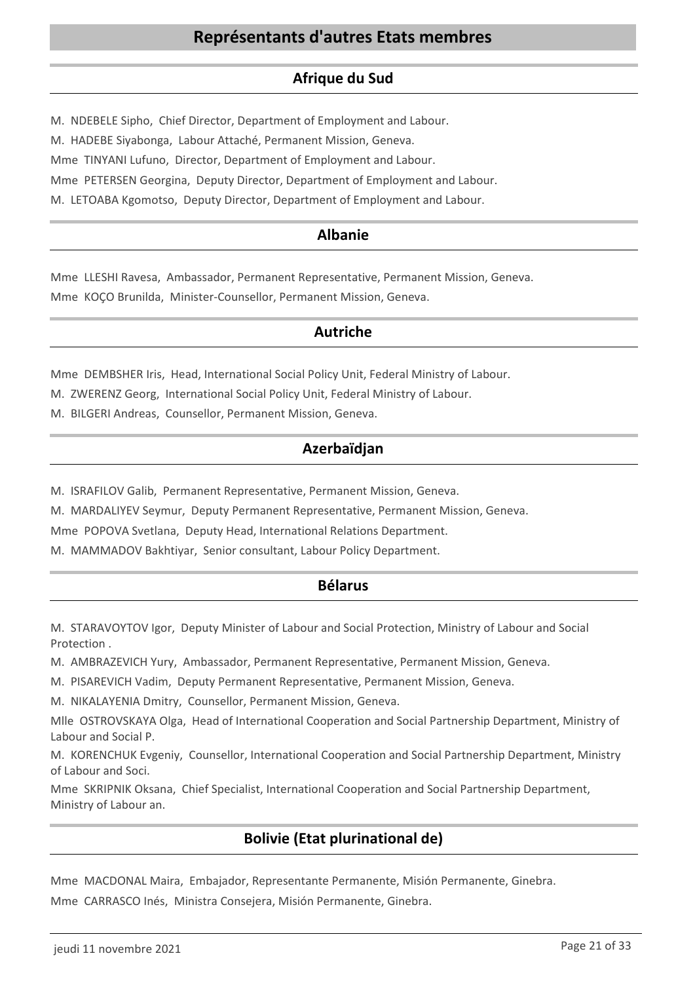## **Afrique du Sud**

M. NDEBELE Sipho, Chief Director, Department of Employment and Labour.

M. HADEBE Siyabonga, Labour Attaché, Permanent Mission, Geneva.

Mme TINYANI Lufuno, Director, Department of Employment and Labour.

Mme PETERSEN Georgina, Deputy Director, Department of Employment and Labour.

M. LETOABA Kgomotso, Deputy Director, Department of Employment and Labour.

## **Albanie**

Mme LLESHI Ravesa, Ambassador, Permanent Representative, Permanent Mission, Geneva. Mme KOÇO Brunilda, Minister-Counsellor, Permanent Mission, Geneva.

## **Autriche**

Mme DEMBSHER Iris, Head, International Social Policy Unit, Federal Ministry of Labour.

M. ZWERENZ Georg, International Social Policy Unit, Federal Ministry of Labour.

M. BILGERI Andreas, Counsellor, Permanent Mission, Geneva.

## **Azerbaïdjan**

M. ISRAFILOV Galib, Permanent Representative, Permanent Mission, Geneva.

M. MARDALIYEV Seymur, Deputy Permanent Representative, Permanent Mission, Geneva.

Mme POPOVA Svetlana, Deputy Head, International Relations Department.

M. MAMMADOV Bakhtiyar, Senior consultant, Labour Policy Department.

## **Bélarus**

M. STARAVOYTOV Igor, Deputy Minister of Labour and Social Protection, Ministry of Labour and Social Protection .

M. AMBRAZEVICH Yury, Ambassador, Permanent Representative, Permanent Mission, Geneva.

M. PISAREVICH Vadim, Deputy Permanent Representative, Permanent Mission, Geneva.

M. NIKALAYENIA Dmitry, Counsellor, Permanent Mission, Geneva.

Mlle OSTROVSKAYA Olga, Head of International Cooperation and Social Partnership Department, Ministry of Labour and Social P.

M. KORENCHUK Evgeniy, Counsellor, International Cooperation and Social Partnership Department, Ministry of Labour and Soci.

Mme SKRIPNIK Oksana, Chief Specialist, International Cooperation and Social Partnership Department, Ministry of Labour an.

## **Bolivie (Etat plurinational de)**

Mme MACDONAL Maira, Embajador, Representante Permanente, Misión Permanente, Ginebra. Mme CARRASCO Inés, Ministra Consejera, Misión Permanente, Ginebra.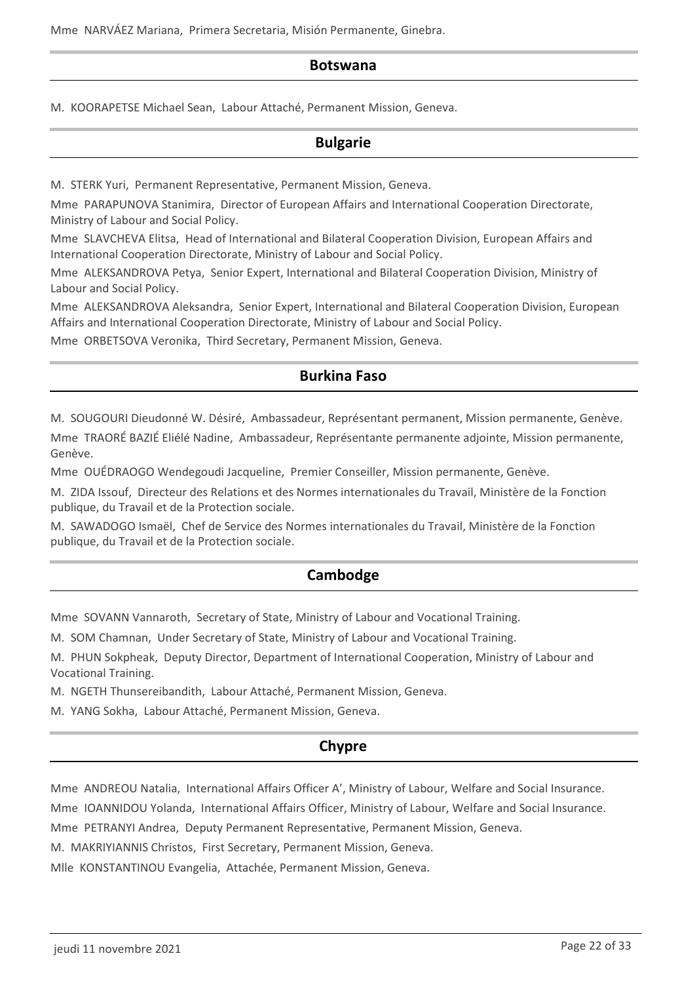Mme NARVÁEZ Mariana, Primera Secretaria, Misión Permanente, Ginebra.

#### **Botswana**

M. KOORAPETSE Michael Sean, Labour Attaché, Permanent Mission, Geneva.

### **Bulgarie**

M. STERK Yuri, Permanent Representative, Permanent Mission, Geneva.

Mme PARAPUNOVA Stanimira, Director of European Affairs and International Cooperation Directorate, Ministry of Labour and Social Policy.

Mme SLAVCHEVA Elitsa, Head of International and Bilateral Cooperation Division, European Affairs and International Cooperation Directorate, Ministry of Labour and Social Policy.

Mme ALEKSANDROVA Petya, Senior Expert, International and Bilateral Cooperation Division, Ministry of Labour and Social Policy.

Mme ALEKSANDROVA Aleksandra, Senior Expert, International and Bilateral Cooperation Division, European Affairs and International Cooperation Directorate, Ministry of Labour and Social Policy.

Mme ORBETSOVA Veronika, Third Secretary, Permanent Mission, Geneva.

## **Burkina Faso**

M. SOUGOURI Dieudonné W. Désiré, Ambassadeur, Représentant permanent, Mission permanente, Genève.

Mme TRAORÉ BAZIÉ Eliélé Nadine, Ambassadeur, Représentante permanente adjointe, Mission permanente, Genève.

Mme OUÉDRAOGO Wendegoudi Jacqueline, Premier Conseiller, Mission permanente, Genève.

M. ZIDA Issouf, Directeur des Relations et des Normes internationales du Travail, Ministère de la Fonction publique, du Travail et de la Protection sociale.

M. SAWADOGO Ismaël, Chef de Service des Normes internationales du Travail, Ministère de la Fonction publique, du Travail et de la Protection sociale.

## **Cambodge**

Mme SOVANN Vannaroth, Secretary of State, Ministry of Labour and Vocational Training.

M. SOM Chamnan, Under Secretary of State, Ministry of Labour and Vocational Training.

M. PHUN Sokpheak, Deputy Director, Department of International Cooperation, Ministry of Labour and Vocational Training.

M. NGETH Thunsereibandith, Labour Attaché, Permanent Mission, Geneva.

M. YANG Sokha, Labour Attaché, Permanent Mission, Geneva.

## **Chypre**

Mme ANDREOU Natalia, International Affairs Officer A', Ministry of Labour, Welfare and Social Insurance.

Mme IOANNIDOU Yolanda, International Affairs Officer, Ministry of Labour, Welfare and Social Insurance.

Mme PETRANYI Andrea, Deputy Permanent Representative, Permanent Mission, Geneva.

M. MAKRIYIANNIS Christos, First Secretary, Permanent Mission, Geneva.

Mlle KONSTANTINOU Evangelia, Attachée, Permanent Mission, Geneva.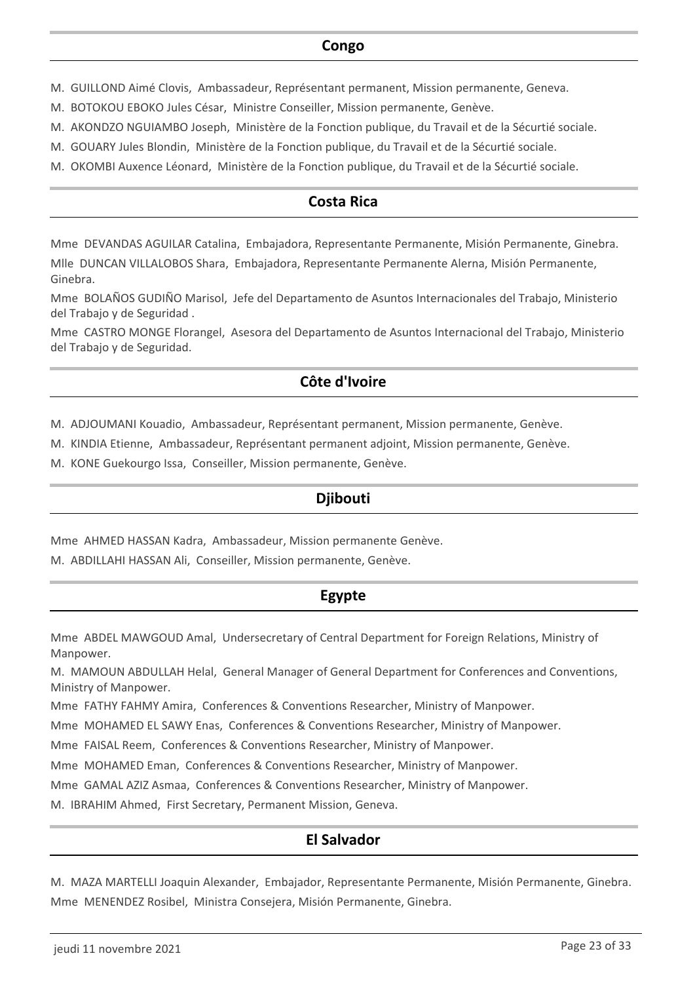### **Congo**

- M. GUILLOND Aimé Clovis, Ambassadeur, Représentant permanent, Mission permanente, Geneva.
- M. BOTOKOU EBOKO Jules César, Ministre Conseiller, Mission permanente, Genève.
- M. AKONDZO NGUIAMBO Joseph, Ministère de la Fonction publique, du Travail et de la Sécurtié sociale.
- M. GOUARY Jules Blondin, Ministère de la Fonction publique, du Travail et de la Sécurtié sociale.
- M. OKOMBI Auxence Léonard, Ministère de la Fonction publique, du Travail et de la Sécurtié sociale.

## **Costa Rica**

Mme DEVANDAS AGUILAR Catalina, Embajadora, Representante Permanente, Misión Permanente, Ginebra.

Mlle DUNCAN VILLALOBOS Shara, Embajadora, Representante Permanente Alerna, Misión Permanente, Ginebra.

Mme BOLAÑOS GUDIÑO Marisol, Jefe del Departamento de Asuntos Internacionales del Trabajo, Ministerio del Trabajo y de Seguridad .

Mme CASTRO MONGE Florangel, Asesora del Departamento de Asuntos Internacional del Trabajo, Ministerio del Trabajo y de Seguridad.

## **Côte d'Ivoire**

M. ADJOUMANI Kouadio, Ambassadeur, Représentant permanent, Mission permanente, Genève.

M. KINDIA Etienne, Ambassadeur, Représentant permanent adjoint, Mission permanente, Genève.

M. KONE Guekourgo Issa, Conseiller, Mission permanente, Genève.

## **Djibouti**

Mme AHMED HASSAN Kadra, Ambassadeur, Mission permanente Genève.

M. ABDILLAHI HASSAN Ali, Conseiller, Mission permanente, Genève.

## **Egypte**

Mme ABDEL MAWGOUD Amal, Undersecretary of Central Department for Foreign Relations, Ministry of Manpower.

M. MAMOUN ABDULLAH Helal, General Manager of General Department for Conferences and Conventions, Ministry of Manpower.

Mme FATHY FAHMY Amira, Conferences & Conventions Researcher, Ministry of Manpower.

Mme MOHAMED EL SAWY Enas, Conferences & Conventions Researcher, Ministry of Manpower.

Mme FAISAL Reem, Conferences & Conventions Researcher, Ministry of Manpower.

Mme MOHAMED Eman, Conferences & Conventions Researcher, Ministry of Manpower.

Mme GAMAL AZIZ Asmaa, Conferences & Conventions Researcher, Ministry of Manpower.

M. IBRAHIM Ahmed, First Secretary, Permanent Mission, Geneva.

## **El Salvador**

M. MAZA MARTELLI Joaquin Alexander, Embajador, Representante Permanente, Misión Permanente, Ginebra. Mme MENENDEZ Rosibel, Ministra Consejera, Misión Permanente, Ginebra.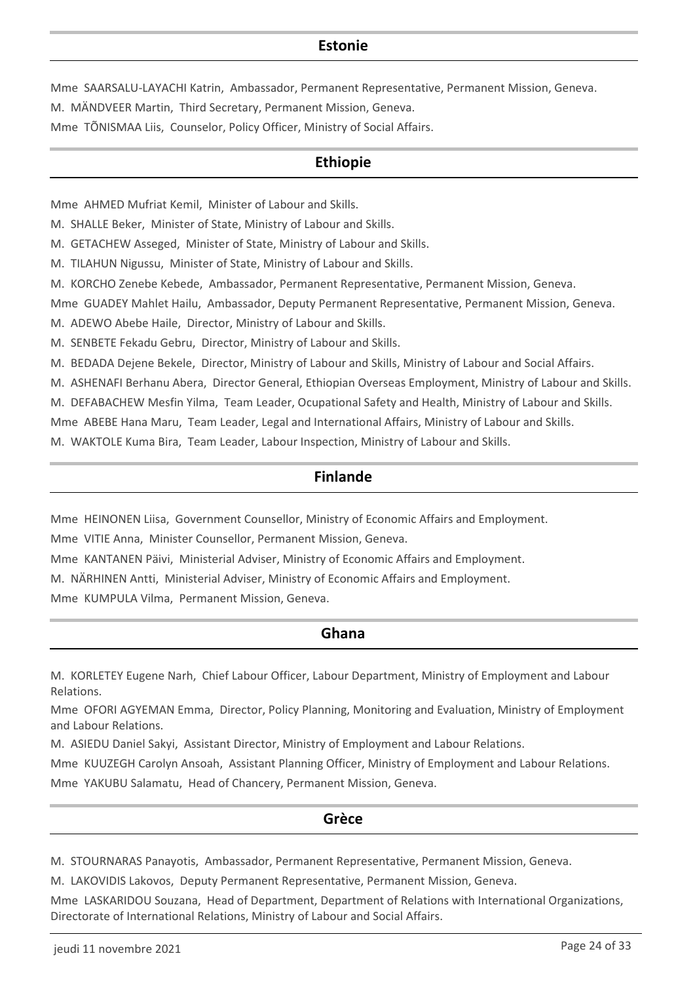## **Estonie**

Mme SAARSALU-LAYACHI Katrin, Ambassador, Permanent Representative, Permanent Mission, Geneva. M. MÄNDVEER Martin, Third Secretary, Permanent Mission, Geneva.

Mme TÕNISMAA Liis, Counselor, Policy Officer, Ministry of Social Affairs.

## **Ethiopie**

Mme AHMED Mufriat Kemil, Minister of Labour and Skills.

M. SHALLE Beker, Minister of State, Ministry of Labour and Skills.

M. GETACHEW Asseged, Minister of State, Ministry of Labour and Skills.

M. TILAHUN Nigussu, Minister of State, Ministry of Labour and Skills.

M. KORCHO Zenebe Kebede, Ambassador, Permanent Representative, Permanent Mission, Geneva.

Mme GUADEY Mahlet Hailu, Ambassador, Deputy Permanent Representative, Permanent Mission, Geneva.

M. ADEWO Abebe Haile, Director, Ministry of Labour and Skills.

M. SENBETE Fekadu Gebru, Director, Ministry of Labour and Skills.

M. BEDADA Dejene Bekele, Director, Ministry of Labour and Skills, Ministry of Labour and Social Affairs.

M. ASHENAFI Berhanu Abera, Director General, Ethiopian Overseas Employment, Ministry of Labour and Skills.

M. DEFABACHEW Mesfin Yilma, Team Leader, Ocupational Safety and Health, Ministry of Labour and Skills.

Mme ABEBE Hana Maru, Team Leader, Legal and International Affairs, Ministry of Labour and Skills.

M. WAKTOLE Kuma Bira, Team Leader, Labour Inspection, Ministry of Labour and Skills.

## **Finlande**

Mme HEINONEN Liisa, Government Counsellor, Ministry of Economic Affairs and Employment.

Mme VITIE Anna, Minister Counsellor, Permanent Mission, Geneva.

Mme KANTANEN Päivi, Ministerial Adviser, Ministry of Economic Affairs and Employment.

M. NÄRHINEN Antti, Ministerial Adviser, Ministry of Economic Affairs and Employment.

Mme KUMPULA Vilma, Permanent Mission, Geneva.

### **Ghana**

M. KORLETEY Eugene Narh, Chief Labour Officer, Labour Department, Ministry of Employment and Labour Relations.

Mme OFORI AGYEMAN Emma, Director, Policy Planning, Monitoring and Evaluation, Ministry of Employment and Labour Relations.

M. ASIEDU Daniel Sakyi, Assistant Director, Ministry of Employment and Labour Relations.

Mme KUUZEGH Carolyn Ansoah, Assistant Planning Officer, Ministry of Employment and Labour Relations.

Mme YAKUBU Salamatu, Head of Chancery, Permanent Mission, Geneva.

### **Grèce**

M. STOURNARAS Panayotis, Ambassador, Permanent Representative, Permanent Mission, Geneva.

M. LAKOVIDIS Lakovos, Deputy Permanent Representative, Permanent Mission, Geneva.

Mme LASKARIDOU Souzana, Head of Department, Department of Relations with International Organizations, Directorate of International Relations, Ministry of Labour and Social Affairs.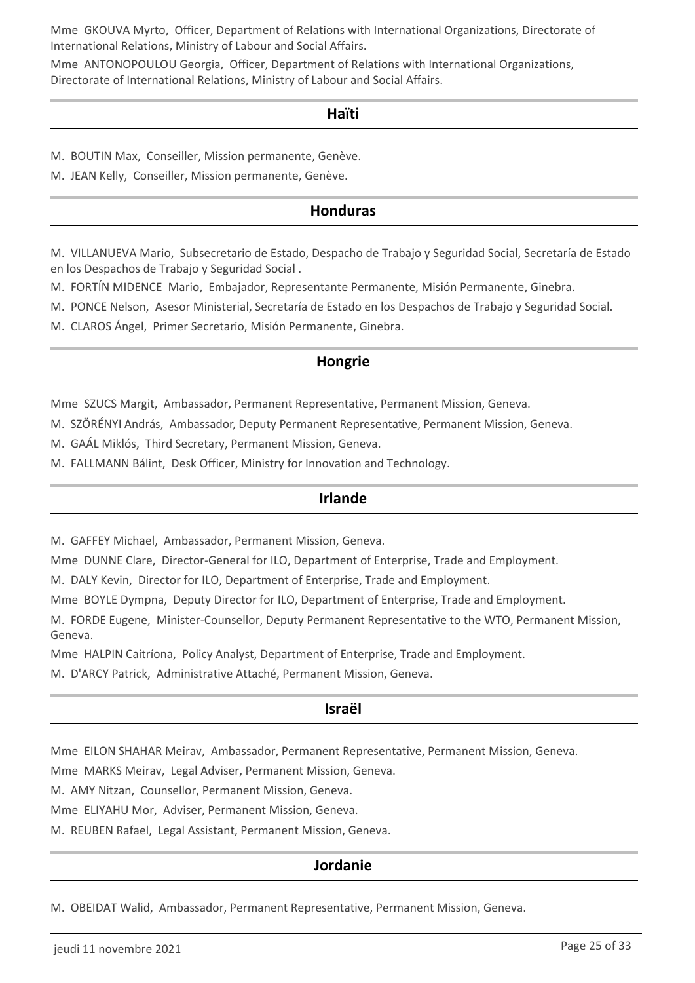Mme GKOUVA Myrto, Officer, Department of Relations with International Organizations, Directorate of International Relations, Ministry of Labour and Social Affairs.

Mme ANTONOPOULOU Georgia, Officer, Department of Relations with International Organizations, Directorate of International Relations, Ministry of Labour and Social Affairs.

#### **Haïti**

M. BOUTIN Max, Conseiller, Mission permanente, Genève.

M. JEAN Kelly, Conseiller, Mission permanente, Genève.

## **Honduras**

M. VILLANUEVA Mario, Subsecretario de Estado, Despacho de Trabajo y Seguridad Social, Secretaría de Estado en los Despachos de Trabajo y Seguridad Social .

M. FORTÍN MIDENCE Mario, Embajador, Representante Permanente, Misión Permanente, Ginebra.

M. PONCE Nelson, Asesor Ministerial, Secretaría de Estado en los Despachos de Trabajo y Seguridad Social.

M. CLAROS Ángel, Primer Secretario, Misión Permanente, Ginebra.

### **Hongrie**

Mme SZUCS Margit, Ambassador, Permanent Representative, Permanent Mission, Geneva.

M. SZÖRÉNYI András, Ambassador, Deputy Permanent Representative, Permanent Mission, Geneva.

M. GAÁL Miklós, Third Secretary, Permanent Mission, Geneva.

M. FALLMANN Bálint, Desk Officer, Ministry for Innovation and Technology.

#### **Irlande**

M. GAFFEY Michael, Ambassador, Permanent Mission, Geneva.

Mme DUNNE Clare, Director-General for ILO, Department of Enterprise, Trade and Employment.

M. DALY Kevin, Director for ILO, Department of Enterprise, Trade and Employment.

Mme BOYLE Dympna, Deputy Director for ILO, Department of Enterprise, Trade and Employment.

M. FORDE Eugene, Minister-Counsellor, Deputy Permanent Representative to the WTO, Permanent Mission, Geneva.

Mme HALPIN Caitríona, Policy Analyst, Department of Enterprise, Trade and Employment.

M. D'ARCY Patrick, Administrative Attaché, Permanent Mission, Geneva.

#### **Israël**

Mme EILON SHAHAR Meirav, Ambassador, Permanent Representative, Permanent Mission, Geneva.

Mme MARKS Meirav, Legal Adviser, Permanent Mission, Geneva.

M. AMY Nitzan, Counsellor, Permanent Mission, Geneva.

Mme ELIYAHU Mor, Adviser, Permanent Mission, Geneva.

M. REUBEN Rafael, Legal Assistant, Permanent Mission, Geneva.

### **Jordanie**

M. OBEIDAT Walid, Ambassador, Permanent Representative, Permanent Mission, Geneva.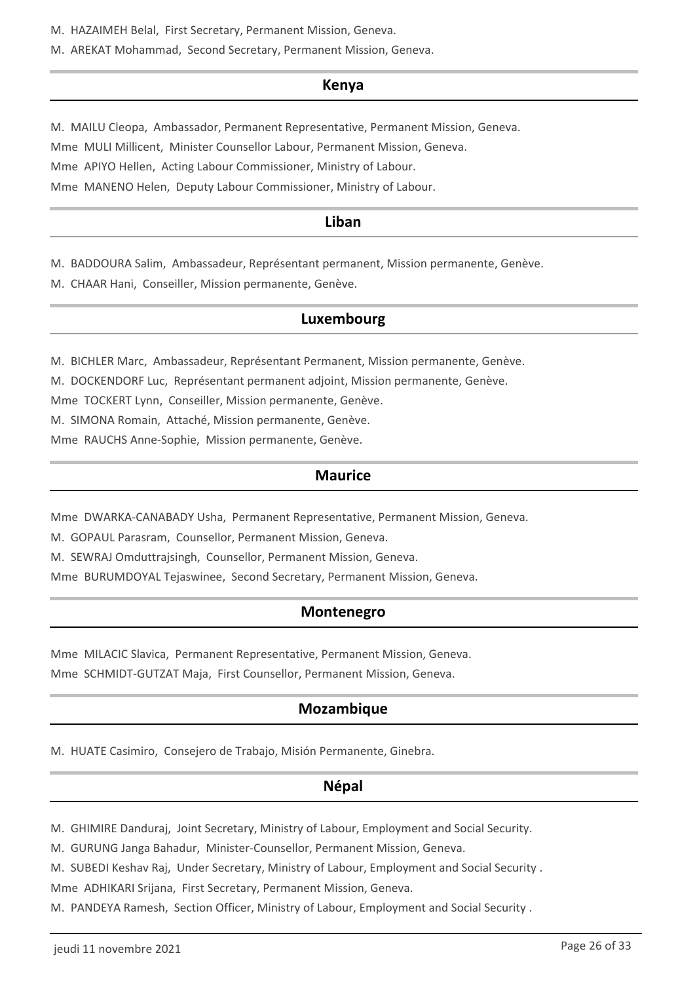M. HAZAIMEH Belal, First Secretary, Permanent Mission, Geneva.

M. AREKAT Mohammad, Second Secretary, Permanent Mission, Geneva.

### **Kenya**

M. MAILU Cleopa, Ambassador, Permanent Representative, Permanent Mission, Geneva. Mme MULI Millicent, Minister Counsellor Labour, Permanent Mission, Geneva. Mme APIYO Hellen, Acting Labour Commissioner, Ministry of Labour. Mme MANENO Helen, Deputy Labour Commissioner, Ministry of Labour.

## **Liban**

M. BADDOURA Salim, Ambassadeur, Représentant permanent, Mission permanente, Genève.

M. CHAAR Hani, Conseiller, Mission permanente, Genève.

## **Luxembourg**

M. BICHLER Marc, Ambassadeur, Représentant Permanent, Mission permanente, Genève.

M. DOCKENDORF Luc, Représentant permanent adjoint, Mission permanente, Genève.

Mme TOCKERT Lynn, Conseiller, Mission permanente, Genève.

M. SIMONA Romain, Attaché, Mission permanente, Genève.

Mme RAUCHS Anne-Sophie, Mission permanente, Genève.

## **Maurice**

Mme DWARKA-CANABADY Usha, Permanent Representative, Permanent Mission, Geneva.

M. GOPAUL Parasram, Counsellor, Permanent Mission, Geneva.

M. SEWRAJ Omduttrajsingh, Counsellor, Permanent Mission, Geneva.

Mme BURUMDOYAL Tejaswinee, Second Secretary, Permanent Mission, Geneva.

## **Montenegro**

Mme MILACIC Slavica, Permanent Representative, Permanent Mission, Geneva.

Mme SCHMIDT-GUTZAT Maja, First Counsellor, Permanent Mission, Geneva.

## **Mozambique**

M. HUATE Casimiro, Consejero de Trabajo, Misión Permanente, Ginebra.

### **Népal**

M. GHIMIRE Danduraj, Joint Secretary, Ministry of Labour, Employment and Social Security.

M. GURUNG Janga Bahadur, Minister-Counsellor, Permanent Mission, Geneva.

M. SUBEDI Keshav Raj, Under Secretary, Ministry of Labour, Employment and Social Security .

Mme ADHIKARI Srijana, First Secretary, Permanent Mission, Geneva.

M. PANDEYA Ramesh, Section Officer, Ministry of Labour, Employment and Social Security .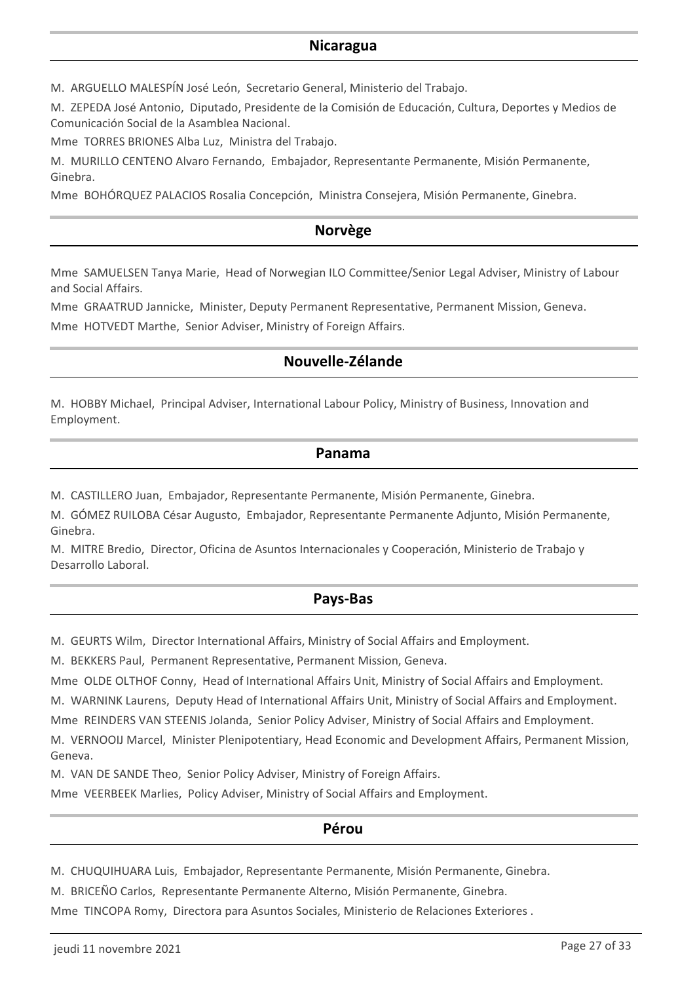### **Nicaragua**

M. ARGUELLO MALESPÍN José León, Secretario General, Ministerio del Trabajo.

M. ZEPEDA José Antonio, Diputado, Presidente de la Comisión de Educación, Cultura, Deportes y Medios de Comunicación Social de la Asamblea Nacional.

Mme TORRES BRIONES Alba Luz, Ministra del Trabajo.

M. MURILLO CENTENO Alvaro Fernando, Embajador, Representante Permanente, Misión Permanente, Ginebra.

Mme BOHÓRQUEZ PALACIOS Rosalia Concepción, Ministra Consejera, Misión Permanente, Ginebra.

## **Norvège**

Mme SAMUELSEN Tanya Marie, Head of Norwegian ILO Committee/Senior Legal Adviser, Ministry of Labour and Social Affairs.

Mme GRAATRUD Jannicke, Minister, Deputy Permanent Representative, Permanent Mission, Geneva.

Mme HOTVEDT Marthe, Senior Adviser, Ministry of Foreign Affairs.

## **Nouvelle-Zélande**

M. HOBBY Michael, Principal Adviser, International Labour Policy, Ministry of Business, Innovation and Employment.

### **Panama**

M. CASTILLERO Juan, Embajador, Representante Permanente, Misión Permanente, Ginebra.

M. GÓMEZ RUILOBA César Augusto, Embajador, Representante Permanente Adjunto, Misión Permanente, Ginebra.

M. MITRE Bredio, Director, Oficina de Asuntos Internacionales y Cooperación, Ministerio de Trabajo y Desarrollo Laboral.

### **Pays-Bas**

M. GEURTS Wilm, Director International Affairs, Ministry of Social Affairs and Employment.

M. BEKKERS Paul, Permanent Representative, Permanent Mission, Geneva.

Mme OLDE OLTHOF Conny, Head of International Affairs Unit, Ministry of Social Affairs and Employment.

M. WARNINK Laurens, Deputy Head of International Affairs Unit, Ministry of Social Affairs and Employment.

Mme REINDERS VAN STEENIS Jolanda, Senior Policy Adviser, Ministry of Social Affairs and Employment.

M. VERNOOIJ Marcel, Minister Plenipotentiary, Head Economic and Development Affairs, Permanent Mission, Geneva.

M. VAN DE SANDE Theo, Senior Policy Adviser, Ministry of Foreign Affairs.

Mme VEERBEEK Marlies, Policy Adviser, Ministry of Social Affairs and Employment.

### **Pérou**

M. CHUQUIHUARA Luis, Embajador, Representante Permanente, Misión Permanente, Ginebra.

M. BRICEÑO Carlos, Representante Permanente Alterno, Misión Permanente, Ginebra.

Mme TINCOPA Romy, Directora para Asuntos Sociales, Ministerio de Relaciones Exteriores .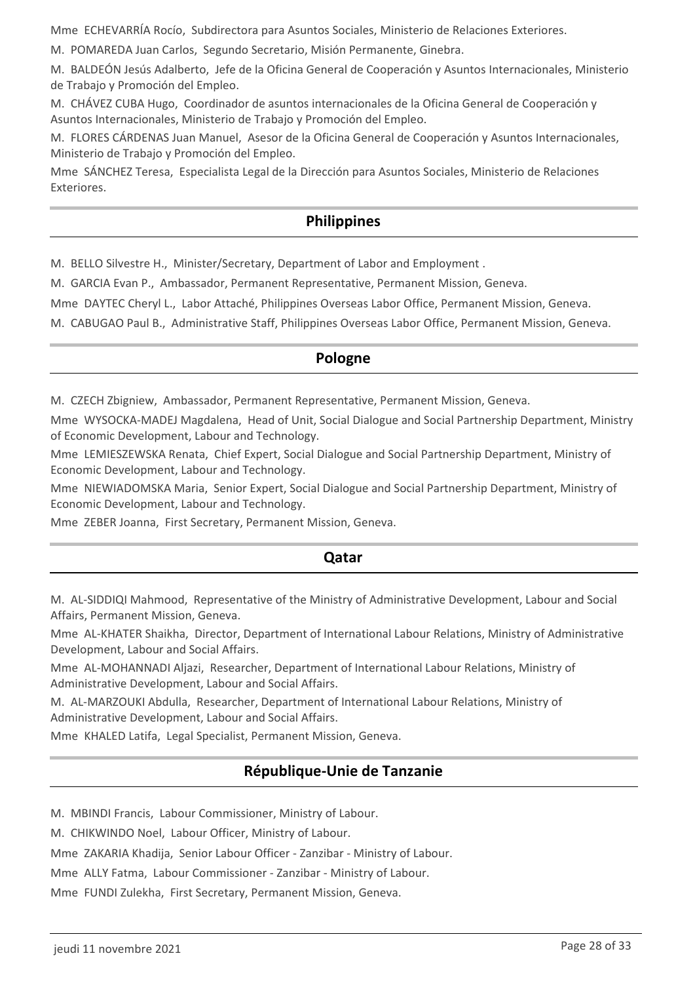Mme ECHEVARRÍA Rocío, Subdirectora para Asuntos Sociales, Ministerio de Relaciones Exteriores.

M. POMAREDA Juan Carlos, Segundo Secretario, Misión Permanente, Ginebra.

M. BALDEÓN Jesús Adalberto, Jefe de la Oficina General de Cooperación y Asuntos Internacionales, Ministerio de Trabajo y Promoción del Empleo.

M. CHÁVEZ CUBA Hugo, Coordinador de asuntos internacionales de la Oficina General de Cooperación y Asuntos Internacionales, Ministerio de Trabajo y Promoción del Empleo.

M. FLORES CÁRDENAS Juan Manuel, Asesor de la Oficina General de Cooperación y Asuntos Internacionales, Ministerio de Trabajo y Promoción del Empleo.

Mme SÁNCHEZ Teresa, Especialista Legal de la Dirección para Asuntos Sociales, Ministerio de Relaciones Exteriores.

### **Philippines**

M. BELLO Silvestre H., Minister/Secretary, Department of Labor and Employment .

M. GARCIA Evan P., Ambassador, Permanent Representative, Permanent Mission, Geneva.

Mme DAYTEC Cheryl L., Labor Attaché, Philippines Overseas Labor Office, Permanent Mission, Geneva.

M. CABUGAO Paul B., Administrative Staff, Philippines Overseas Labor Office, Permanent Mission, Geneva.

### **Pologne**

M. CZECH Zbigniew, Ambassador, Permanent Representative, Permanent Mission, Geneva.

Mme WYSOCKA-MADEJ Magdalena, Head of Unit, Social Dialogue and Social Partnership Department, Ministry of Economic Development, Labour and Technology.

Mme LEMIESZEWSKA Renata, Chief Expert, Social Dialogue and Social Partnership Department, Ministry of Economic Development, Labour and Technology.

Mme NIEWIADOMSKA Maria, Senior Expert, Social Dialogue and Social Partnership Department, Ministry of Economic Development, Labour and Technology.

Mme ZEBER Joanna, First Secretary, Permanent Mission, Geneva.

#### **Qatar**

M. AL-SIDDIQI Mahmood, Representative of the Ministry of Administrative Development, Labour and Social Affairs, Permanent Mission, Geneva.

Mme AL-KHATER Shaikha, Director, Department of International Labour Relations, Ministry of Administrative Development, Labour and Social Affairs.

Mme AL-MOHANNADI Aljazi, Researcher, Department of International Labour Relations, Ministry of Administrative Development, Labour and Social Affairs.

M. AL-MARZOUKI Abdulla, Researcher, Department of International Labour Relations, Ministry of Administrative Development, Labour and Social Affairs.

Mme KHALED Latifa, Legal Specialist, Permanent Mission, Geneva.

## **République-Unie de Tanzanie**

M. MBINDI Francis, Labour Commissioner, Ministry of Labour.

M. CHIKWINDO Noel, Labour Officer, Ministry of Labour.

Mme ZAKARIA Khadija, Senior Labour Officer - Zanzibar - Ministry of Labour.

Mme ALLY Fatma, Labour Commissioner - Zanzibar - Ministry of Labour.

Mme FUNDI Zulekha, First Secretary, Permanent Mission, Geneva.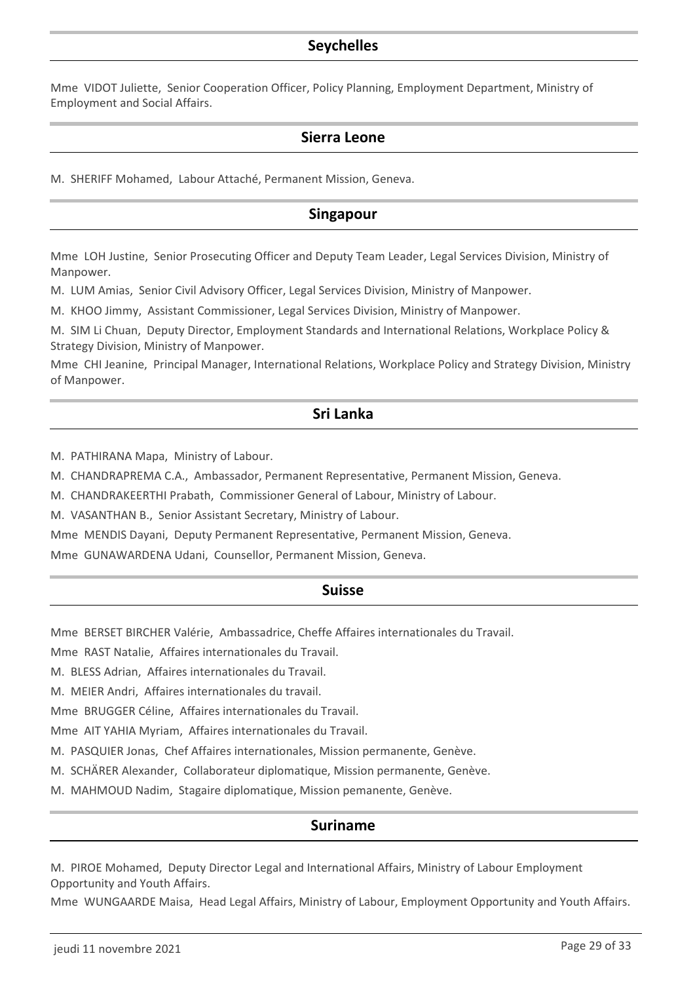## **Seychelles**

Mme VIDOT Juliette, Senior Cooperation Officer, Policy Planning, Employment Department, Ministry of Employment and Social Affairs.

### **Sierra Leone**

M. SHERIFF Mohamed, Labour Attaché, Permanent Mission, Geneva.

### **Singapour**

Mme LOH Justine, Senior Prosecuting Officer and Deputy Team Leader, Legal Services Division, Ministry of Manpower.

M. LUM Amias, Senior Civil Advisory Officer, Legal Services Division, Ministry of Manpower.

M. KHOO Jimmy, Assistant Commissioner, Legal Services Division, Ministry of Manpower.

M. SIM Li Chuan, Deputy Director, Employment Standards and International Relations, Workplace Policy & Strategy Division, Ministry of Manpower.

Mme CHI Jeanine, Principal Manager, International Relations, Workplace Policy and Strategy Division, Ministry of Manpower.

## **Sri Lanka**

M. PATHIRANA Mapa, Ministry of Labour.

M. CHANDRAPREMA C.A., Ambassador, Permanent Representative, Permanent Mission, Geneva.

M. CHANDRAKEERTHI Prabath, Commissioner General of Labour, Ministry of Labour.

M. VASANTHAN B., Senior Assistant Secretary, Ministry of Labour.

Mme MENDIS Dayani, Deputy Permanent Representative, Permanent Mission, Geneva.

Mme GUNAWARDENA Udani, Counsellor, Permanent Mission, Geneva.

#### **Suisse**

Mme BERSET BIRCHER Valérie, Ambassadrice, Cheffe Affaires internationales du Travail.

Mme RAST Natalie, Affaires internationales du Travail.

M. BLESS Adrian, Affaires internationales du Travail.

M. MEIER Andri, Affaires internationales du travail.

Mme BRUGGER Céline, Affaires internationales du Travail.

Mme AIT YAHIA Myriam, Affaires internationales du Travail.

M. PASQUIER Jonas, Chef Affaires internationales, Mission permanente, Genève.

M. SCHÄRER Alexander, Collaborateur diplomatique, Mission permanente, Genève.

M. MAHMOUD Nadim, Stagaire diplomatique, Mission pemanente, Genève.

#### **Suriname**

M. PIROE Mohamed, Deputy Director Legal and International Affairs, Ministry of Labour Employment Opportunity and Youth Affairs.

Mme WUNGAARDE Maisa, Head Legal Affairs, Ministry of Labour, Employment Opportunity and Youth Affairs.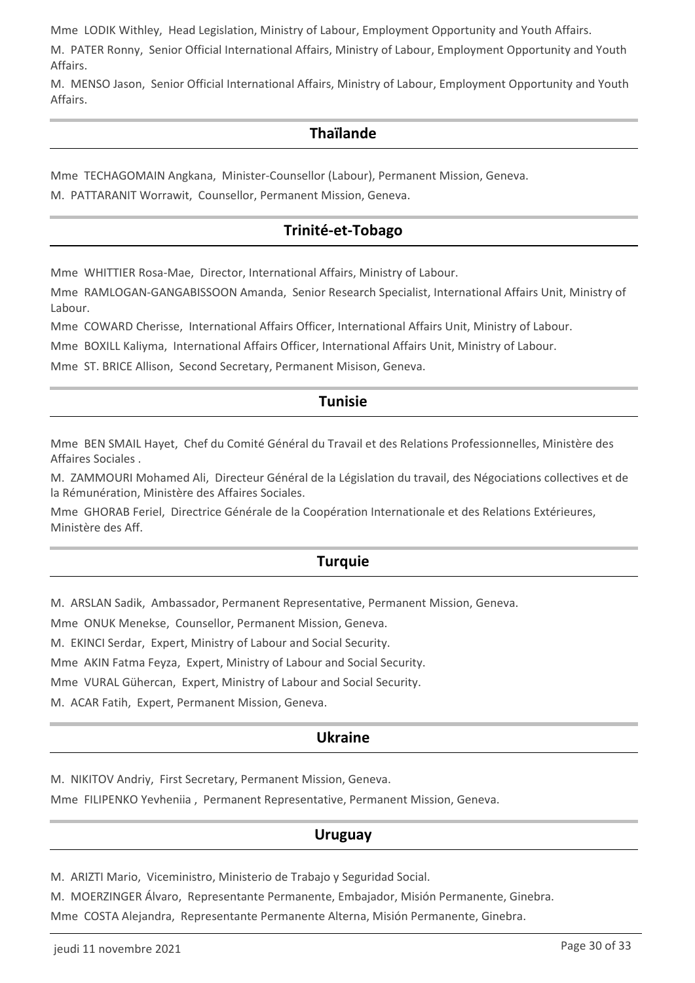Mme LODIK Withley, Head Legislation, Ministry of Labour, Employment Opportunity and Youth Affairs.

M. PATER Ronny, Senior Official International Affairs, Ministry of Labour, Employment Opportunity and Youth Affairs.

M. MENSO Jason, Senior Official International Affairs, Ministry of Labour, Employment Opportunity and Youth Affairs.

## **Thaïlande**

Mme TECHAGOMAIN Angkana, Minister-Counsellor (Labour), Permanent Mission, Geneva.

M. PATTARANIT Worrawit, Counsellor, Permanent Mission, Geneva.

## **Trinité-et-Tobago**

Mme WHITTIER Rosa-Mae, Director, International Affairs, Ministry of Labour.

Mme RAMLOGAN-GANGABISSOON Amanda, Senior Research Specialist, International Affairs Unit, Ministry of Labour.

Mme COWARD Cherisse, International Affairs Officer, International Affairs Unit, Ministry of Labour.

Mme BOXILL Kaliyma, International Affairs Officer, International Affairs Unit, Ministry of Labour.

Mme ST. BRICE Allison, Second Secretary, Permanent Misison, Geneva.

### **Tunisie**

Mme BEN SMAIL Hayet, Chef du Comité Général du Travail et des Relations Professionnelles, Ministère des Affaires Sociales .

M. ZAMMOURI Mohamed Ali, Directeur Général de la Législation du travail, des Négociations collectives et de la Rémunération, Ministère des Affaires Sociales.

Mme GHORAB Feriel, Directrice Générale de la Coopération Internationale et des Relations Extérieures, Ministère des Aff.

## **Turquie**

M. ARSLAN Sadik, Ambassador, Permanent Representative, Permanent Mission, Geneva.

Mme ONUK Menekse, Counsellor, Permanent Mission, Geneva.

M. EKINCI Serdar, Expert, Ministry of Labour and Social Security.

Mme AKIN Fatma Feyza, Expert, Ministry of Labour and Social Security.

Mme VURAL Gühercan, Expert, Ministry of Labour and Social Security.

M. ACAR Fatih, Expert, Permanent Mission, Geneva.

### **Ukraine**

M. NIKITOV Andriy, First Secretary, Permanent Mission, Geneva.

Mme FILIPENKO Yevheniia , Permanent Representative, Permanent Mission, Geneva.

### **Uruguay**

M. ARIZTI Mario, Viceministro, Ministerio de Trabajo y Seguridad Social.

M. MOERZINGER Álvaro, Representante Permanente, Embajador, Misión Permanente, Ginebra.

Mme COSTA Alejandra, Representante Permanente Alterna, Misión Permanente, Ginebra.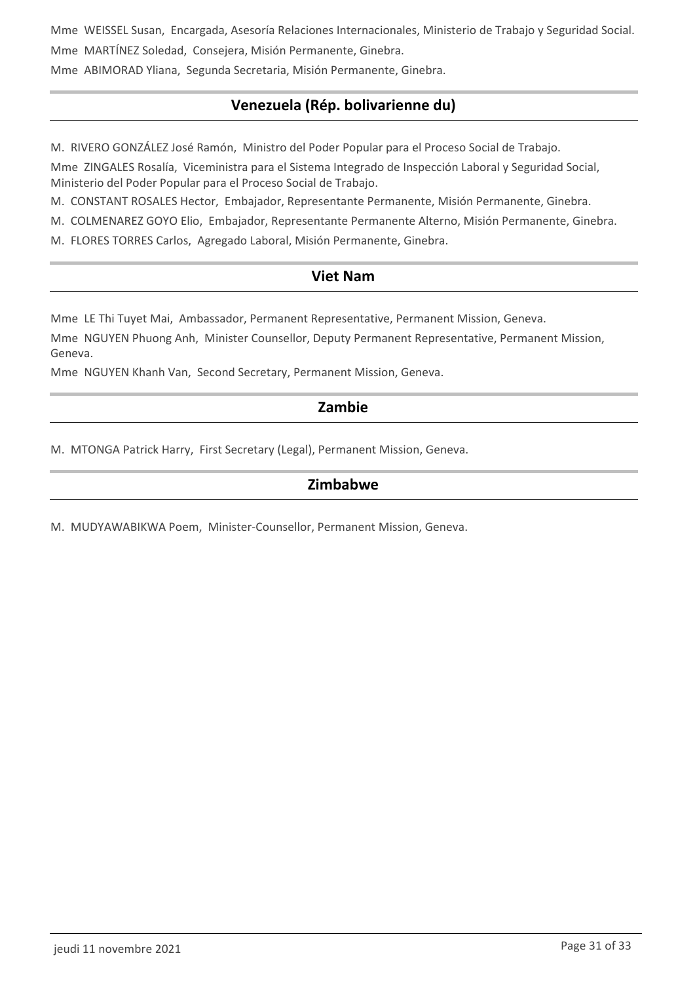Mme WEISSEL Susan, Encargada, Asesoría Relaciones Internacionales, Ministerio de Trabajo y Seguridad Social. Mme MARTÍNEZ Soledad, Consejera, Misión Permanente, Ginebra.

Mme ABIMORAD Yliana, Segunda Secretaria, Misión Permanente, Ginebra.

## **Venezuela (Rép. bolivarienne du)**

M. RIVERO GONZÁLEZ José Ramón, Ministro del Poder Popular para el Proceso Social de Trabajo.

Mme ZINGALES Rosalía, Viceministra para el Sistema Integrado de Inspección Laboral y Seguridad Social, Ministerio del Poder Popular para el Proceso Social de Trabajo.

M. CONSTANT ROSALES Hector, Embajador, Representante Permanente, Misión Permanente, Ginebra.

M. COLMENAREZ GOYO Elio, Embajador, Representante Permanente Alterno, Misión Permanente, Ginebra.

M. FLORES TORRES Carlos, Agregado Laboral, Misión Permanente, Ginebra.

## **Viet Nam**

Mme LE Thi Tuyet Mai, Ambassador, Permanent Representative, Permanent Mission, Geneva.

Mme NGUYEN Phuong Anh, Minister Counsellor, Deputy Permanent Representative, Permanent Mission, Geneva.

Mme NGUYEN Khanh Van, Second Secretary, Permanent Mission, Geneva.

## **Zambie**

M. MTONGA Patrick Harry, First Secretary (Legal), Permanent Mission, Geneva.

## **Zimbabwe**

M. MUDYAWABIKWA Poem, Minister-Counsellor, Permanent Mission, Geneva.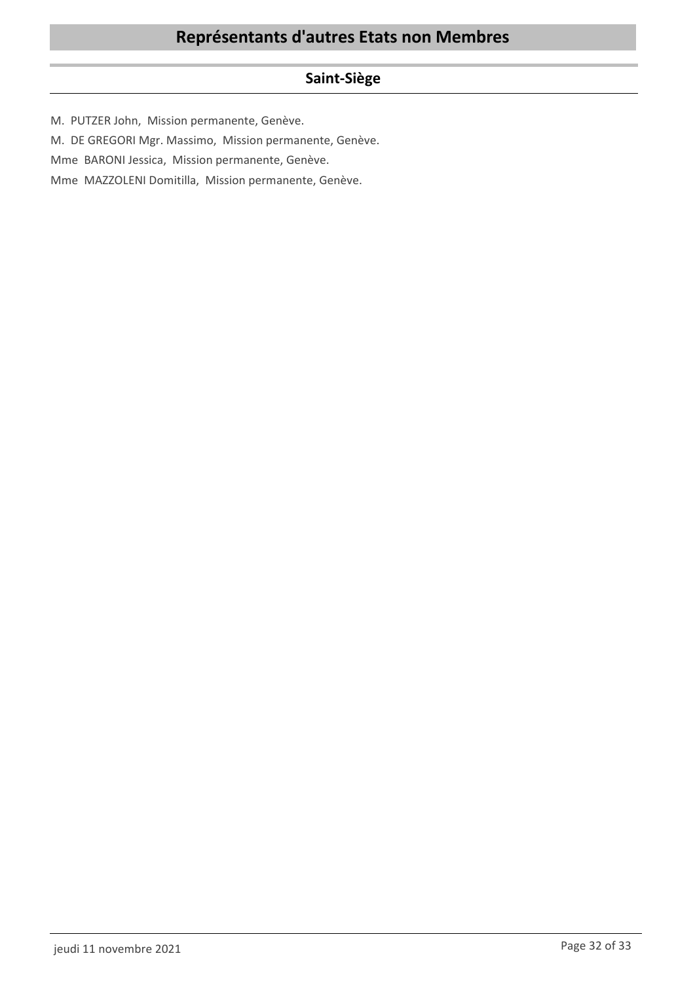## **Saint-Siège**

M. PUTZER John, Mission permanente, Genève.

M. DE GREGORI Mgr. Massimo, Mission permanente, Genève.

Mme BARONI Jessica, Mission permanente, Genève.

Mme MAZZOLENI Domitilla, Mission permanente, Genève.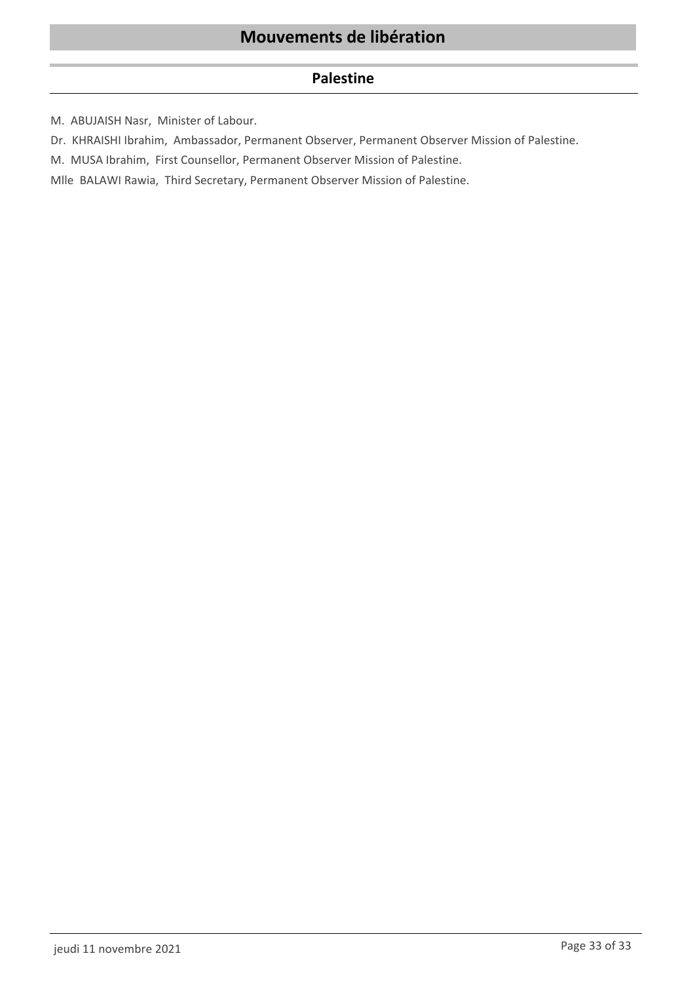## **Palestine**

M. ABUJAISH Nasr, Minister of Labour.

Dr. KHRAISHI Ibrahim, Ambassador, Permanent Observer, Permanent Observer Mission of Palestine.

M. MUSA Ibrahim, First Counsellor, Permanent Observer Mission of Palestine.

Mlle BALAWI Rawia, Third Secretary, Permanent Observer Mission of Palestine.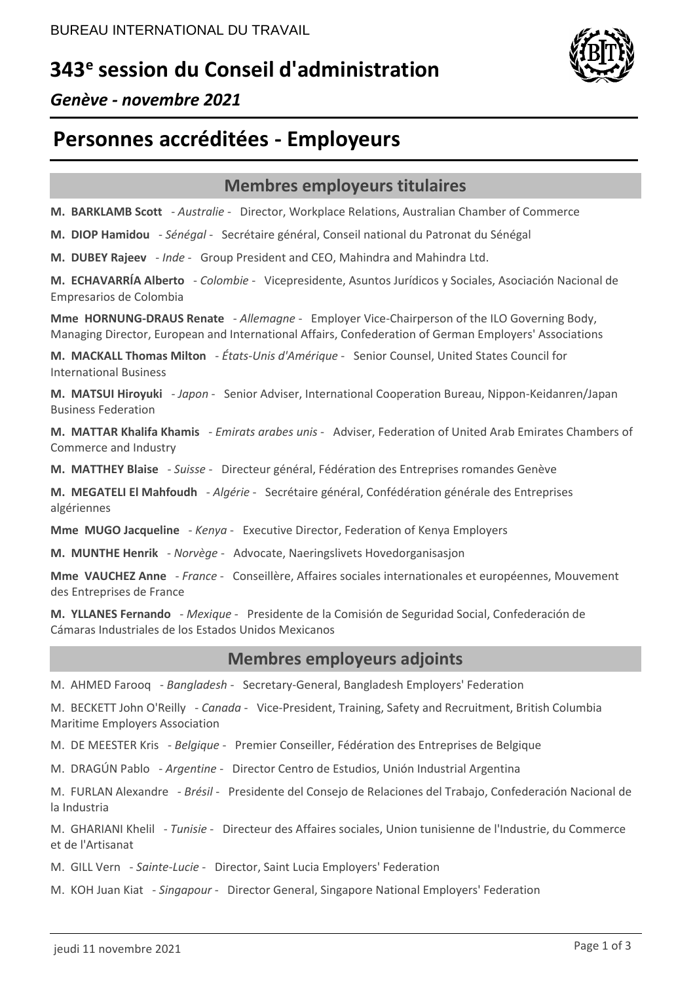# **343<sup>e</sup> session du Conseil d'administration**



*Genève - novembre 2021*

# **Personnes accréditées - Employeurs**

## **Membres employeurs titulaires**

**M. BARKLAMB Scott** - *Australie* - Director, Workplace Relations, Australian Chamber of Commerce

**M. DIOP Hamidou** - *Sénégal* - Secrétaire général, Conseil national du Patronat du Sénégal

**M. DUBEY Rajeev** - *Inde* - Group President and CEO, Mahindra and Mahindra Ltd.

**M. ECHAVARRÍA Alberto** - *Colombie* - Vicepresidente, Asuntos Jurídicos y Sociales, Asociación Nacional de Empresarios de Colombia

**Mme HORNUNG-DRAUS Renate** - *Allemagne* - Employer Vice-Chairperson of the ILO Governing Body, Managing Director, European and International Affairs, Confederation of German Employers' Associations

**M. MACKALL Thomas Milton** - *États-Unis d'Amérique* - Senior Counsel, United States Council for International Business

**M. MATSUI Hiroyuki** - *Japon* - Senior Adviser, International Cooperation Bureau, Nippon-Keidanren/Japan Business Federation

**M. MATTAR Khalifa Khamis** - *Emirats arabes unis* - Adviser, Federation of United Arab Emirates Chambers of Commerce and Industry

**M. MATTHEY Blaise** - *Suisse* - Directeur général, Fédération des Entreprises romandes Genève

**M. MEGATELI El Mahfoudh** - *Algérie* - Secrétaire général, Confédération générale des Entreprises algériennes

**Mme MUGO Jacqueline** - *Kenya* - Executive Director, Federation of Kenya Employers

**M. MUNTHE Henrik** - *Norvège* - Advocate, Naeringslivets Hovedorganisasjon

**Mme VAUCHEZ Anne** - *France* - Conseillère, Affaires sociales internationales et européennes, Mouvement des Entreprises de France

**M. YLLANES Fernando** - *Mexique* - Presidente de la Comisión de Seguridad Social, Confederación de Cámaras Industriales de los Estados Unidos Mexicanos

## **Membres employeurs adjoints**

M. AHMED Farooq - *Bangladesh* - Secretary-General, Bangladesh Employers' Federation

M. BECKETT John O'Reilly - *Canada* - Vice-President, Training, Safety and Recruitment, British Columbia Maritime Employers Association

M. DE MEESTER Kris - *Belgique* - Premier Conseiller, Fédération des Entreprises de Belgique

M. DRAGÚN Pablo - *Argentine* - Director Centro de Estudios, Unión Industrial Argentina

M. FURLAN Alexandre - *Brésil* - Presidente del Consejo de Relaciones del Trabajo, Confederación Nacional de la Industria

M. GHARIANI Khelil - *Tunisie* - Directeur des Affaires sociales, Union tunisienne de l'Industrie, du Commerce et de l'Artisanat

M. GILL Vern - *Sainte-Lucie* - Director, Saint Lucia Employers' Federation

M. KOH Juan Kiat - *Singapour* - Director General, Singapore National Employers' Federation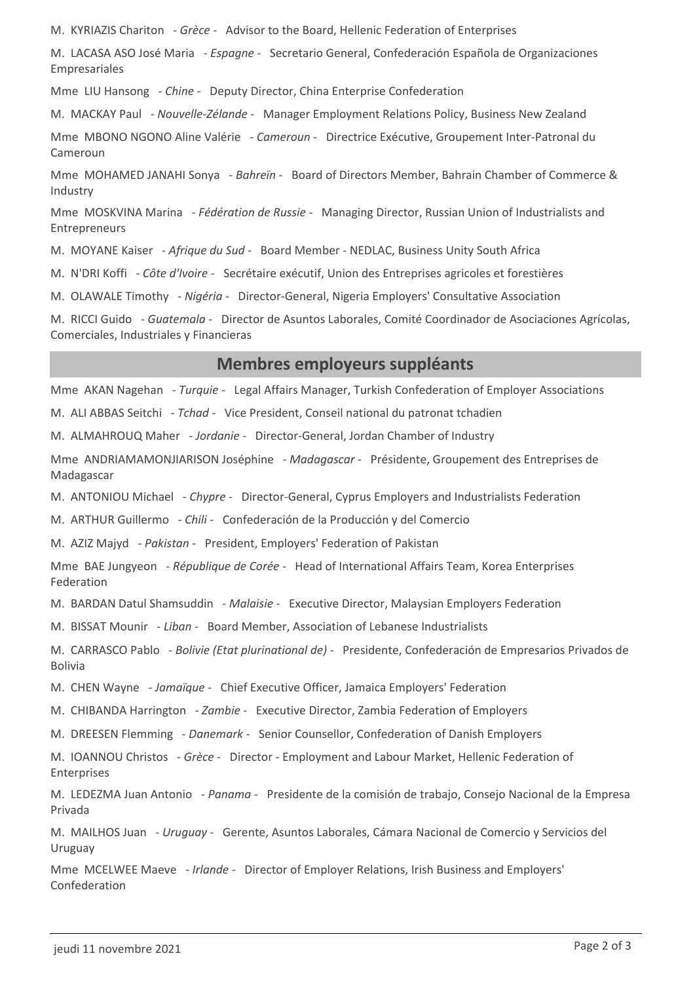M. KYRIAZIS Chariton - *Grèce* - Advisor to the Board, Hellenic Federation of Enterprises

M. LACASA ASO José Maria - *Espagne* - Secretario General, Confederación Española de Organizaciones Empresariales

Mme LIU Hansong - *Chine* - Deputy Director, China Enterprise Confederation

M. MACKAY Paul - *Nouvelle-Zélande* - Manager Employment Relations Policy, Business New Zealand

Mme MBONO NGONO Aline Valérie - *Cameroun* - Directrice Exécutive, Groupement Inter-Patronal du Cameroun

Mme MOHAMED JANAHI Sonya - *Bahreïn* - Board of Directors Member, Bahrain Chamber of Commerce & Industry

Mme MOSKVINA Marina - *Fédération de Russie* - Managing Director, Russian Union of Industrialists and Entrepreneurs

M. MOYANE Kaiser - *Afrique du Sud* - Board Member - NEDLAC, Business Unity South Africa

M. N'DRI Koffi - *Côte d'Ivoire* - Secrétaire exécutif, Union des Entreprises agricoles et forestières

M. OLAWALE Timothy - *Nigéria* - Director-General, Nigeria Employers' Consultative Association

M. RICCI Guido - *Guatemala* - Director de Asuntos Laborales, Comité Coordinador de Asociaciones Agrícolas, Comerciales, Industriales y Financieras

## **Membres employeurs suppléants**

Mme AKAN Nagehan - *Turquie* - Legal Affairs Manager, Turkish Confederation of Employer Associations

M. ALI ABBAS Seitchi - *Tchad* - Vice President, Conseil national du patronat tchadien

M. ALMAHROUQ Maher - *Jordanie* - Director-General, Jordan Chamber of Industry

Mme ANDRIAMAMONJIARISON Joséphine - *Madagascar* - Présidente, Groupement des Entreprises de Madagascar

M. ANTONIOU Michael - *Chypre* - Director-General, Cyprus Employers and Industrialists Federation

M. ARTHUR Guillermo - *Chili* - Confederación de la Producción y del Comercio

M. AZIZ Majyd - *Pakistan* - President, Employers' Federation of Pakistan

Mme BAE Jungyeon - *République de Corée* - Head of International Affairs Team, Korea Enterprises Federation

M. BARDAN Datul Shamsuddin - *Malaisie* - Executive Director, Malaysian Employers Federation

M. BISSAT Mounir - *Liban* - Board Member, Association of Lebanese Industrialists

M. CARRASCO Pablo - *Bolivie (Etat plurinational de)* - Presidente, Confederación de Empresarios Privados de Bolivia

M. CHEN Wayne - *Jamaïque* - Chief Executive Officer, Jamaica Employers' Federation

M. CHIBANDA Harrington - *Zambie* - Executive Director, Zambia Federation of Employers

M. DREESEN Flemming - *Danemark* - Senior Counsellor, Confederation of Danish Employers

M. IOANNOU Christos - *Grèce* - Director - Employment and Labour Market, Hellenic Federation of Enterprises

M. LEDEZMA Juan Antonio - *Panama* - Presidente de la comisión de trabajo, Consejo Nacional de la Empresa Privada

M. MAILHOS Juan - *Uruguay* - Gerente, Asuntos Laborales, Cámara Nacional de Comercio y Servicios del Uruguay

Mme MCELWEE Maeve - *Irlande* - Director of Employer Relations, Irish Business and Employers' Confederation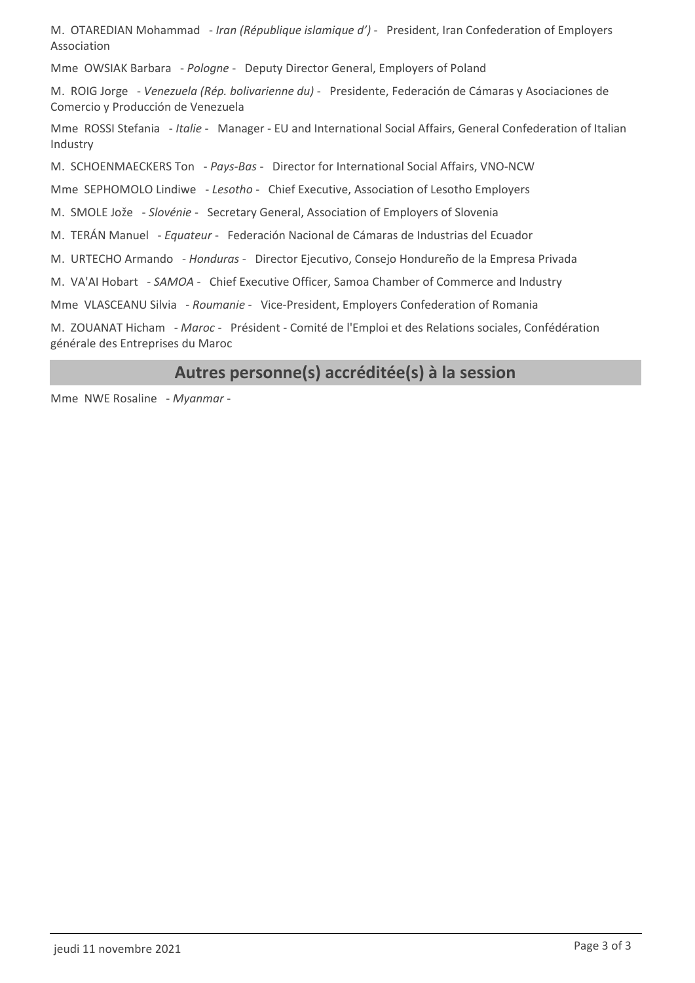M. OTAREDIAN Mohammad - *Iran (République islamique d')* - President, Iran Confederation of Employers Association

Mme OWSIAK Barbara - *Pologne* - Deputy Director General, Employers of Poland

M. ROIG Jorge - *Venezuela (Rép. bolivarienne du)* - Presidente, Federación de Cámaras y Asociaciones de Comercio y Producción de Venezuela

Mme ROSSI Stefania - *Italie* - Manager - EU and International Social Affairs, General Confederation of Italian Industry

M. SCHOENMAECKERS Ton - *Pays-Bas* - Director for International Social Affairs, VNO-NCW

Mme SEPHOMOLO Lindiwe - *Lesotho* - Chief Executive, Association of Lesotho Employers

M. SMOLE Jože - *Slovénie* - Secretary General, Association of Employers of Slovenia

M. TERÁN Manuel - *Equateur* - Federación Nacional de Cámaras de Industrias del Ecuador

M. URTECHO Armando - *Honduras* - Director Ejecutivo, Consejo Hondureño de la Empresa Privada

M. VA'AI Hobart - *SAMOA* - Chief Executive Officer, Samoa Chamber of Commerce and Industry

Mme VLASCEANU Silvia - *Roumanie* - Vice-President, Employers Confederation of Romania

M. ZOUANAT Hicham - *Maroc* - Président - Comité de l'Emploi et des Relations sociales, Confédération générale des Entreprises du Maroc

## **Autres personne(s) accréditée(s) à la session**

Mme NWE Rosaline - *Myanmar* -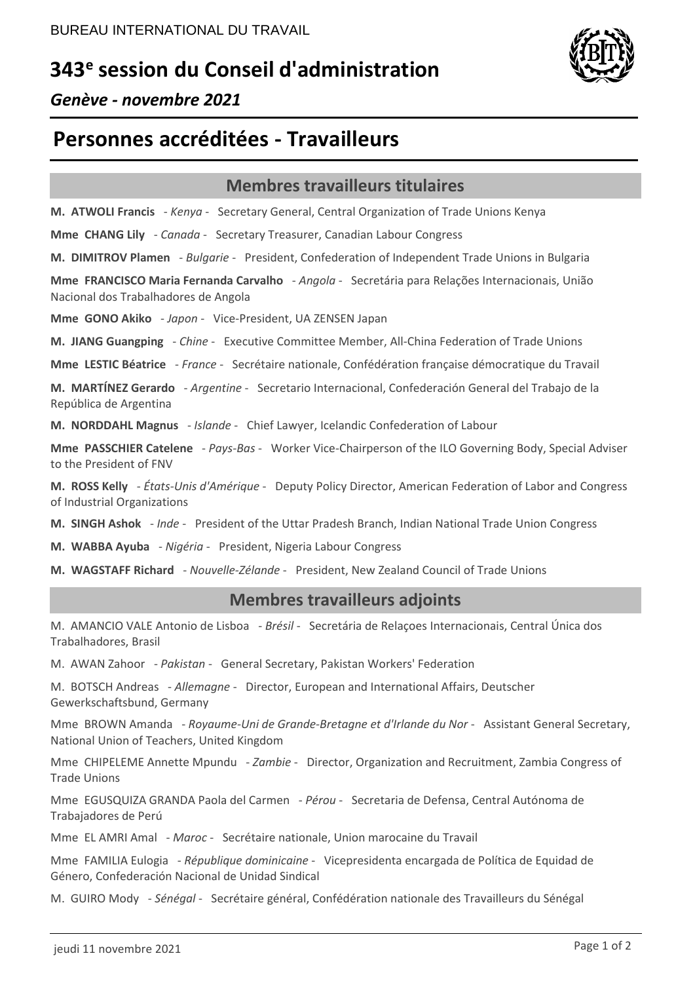# **343<sup>e</sup> session du Conseil d'administration**



*Genève - novembre 2021*

# **Personnes accréditées - Travailleurs**

## **Membres travailleurs titulaires**

**M. ATWOLI Francis** - *Kenya* - Secretary General, Central Organization of Trade Unions Kenya

**Mme CHANG Lily** - *Canada* - Secretary Treasurer, Canadian Labour Congress

**M. DIMITROV Plamen** - *Bulgarie* - President, Confederation of Independent Trade Unions in Bulgaria

**Mme FRANCISCO Maria Fernanda Carvalho** - *Angola* - Secretária para Relações Internacionais, União Nacional dos Trabalhadores de Angola

**Mme GONO Akiko** - *Japon* - Vice-President, UA ZENSEN Japan

**M. JIANG Guangping** - *Chine* - Executive Committee Member, All-China Federation of Trade Unions

**Mme LESTIC Béatrice** - *France* - Secrétaire nationale, Confédération française démocratique du Travail

**M. MARTÍNEZ Gerardo** - *Argentine* - Secretario Internacional, Confederación General del Trabajo de la República de Argentina

**M. NORDDAHL Magnus** - *Islande* - Chief Lawyer, Icelandic Confederation of Labour

**Mme PASSCHIER Catelene** - *Pays-Bas* - Worker Vice-Chairperson of the ILO Governing Body, Special Adviser to the President of FNV

**M. ROSS Kelly** - *États-Unis d'Amérique* - Deputy Policy Director, American Federation of Labor and Congress of Industrial Organizations

**M. SINGH Ashok** - *Inde* - President of the Uttar Pradesh Branch, Indian National Trade Union Congress

**M. WABBA Ayuba** - *Nigéria* - President, Nigeria Labour Congress

**M. WAGSTAFF Richard** - *Nouvelle-Zélande* - President, New Zealand Council of Trade Unions

## **Membres travailleurs adjoints**

M. AMANCIO VALE Antonio de Lisboa - *Brésil* - Secretária de Relaçoes Internacionais, Central Única dos Trabalhadores, Brasil

M. AWAN Zahoor - *Pakistan* - General Secretary, Pakistan Workers' Federation

M. BOTSCH Andreas - *Allemagne* - Director, European and International Affairs, Deutscher Gewerkschaftsbund, Germany

Mme BROWN Amanda - *Royaume-Uni de Grande-Bretagne et d'Irlande du Nor* - Assistant General Secretary, National Union of Teachers, United Kingdom

Mme CHIPELEME Annette Mpundu - *Zambie* - Director, Organization and Recruitment, Zambia Congress of Trade Unions

Mme EGUSQUIZA GRANDA Paola del Carmen - *Pérou* - Secretaria de Defensa, Central Autónoma de Trabajadores de Perú

Mme EL AMRI Amal - *Maroc* - Secrétaire nationale, Union marocaine du Travail

Mme FAMILIA Eulogia - *République dominicaine* - Vicepresidenta encargada de Política de Equidad de Género, Confederación Nacional de Unidad Sindical

M. GUIRO Mody - *Sénégal* - Secrétaire général, Confédération nationale des Travailleurs du Sénégal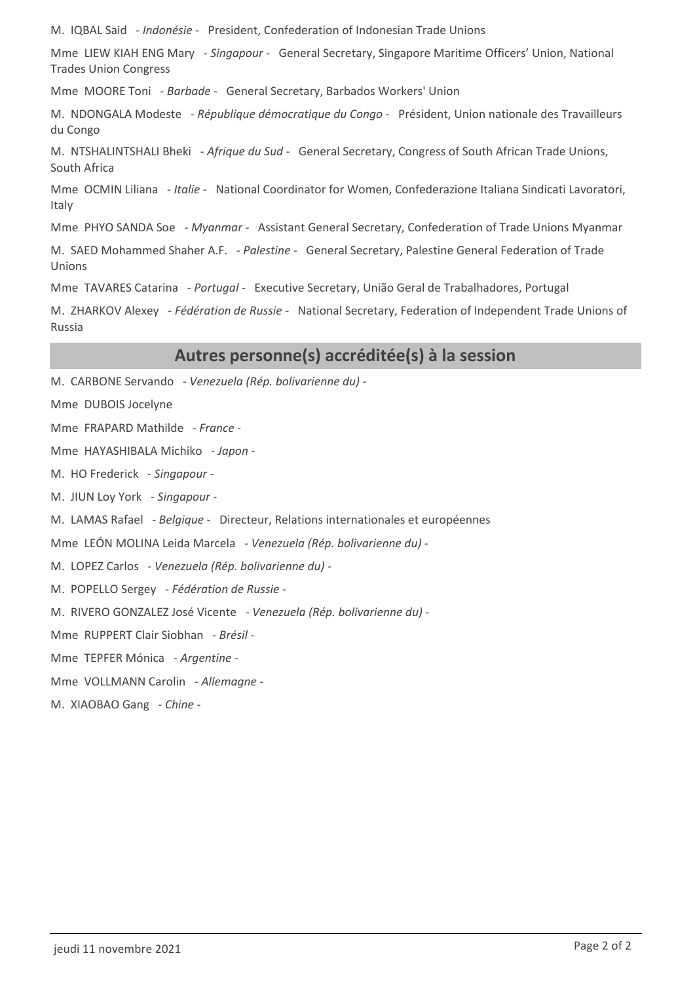M. IQBAL Said - *Indonésie* - President, Confederation of Indonesian Trade Unions

Mme LIEW KIAH ENG Mary - *Singapour* - General Secretary, Singapore Maritime Officers' Union, National Trades Union Congress

Mme MOORE Toni - *Barbade* - General Secretary, Barbados Workers' Union

M. NDONGALA Modeste - *République démocratique du Congo* - Président, Union nationale des Travailleurs du Congo

M. NTSHALINTSHALI Bheki - *Afrique du Sud* - General Secretary, Congress of South African Trade Unions, South Africa

Mme OCMIN Liliana - *Italie* - National Coordinator for Women, Confederazione Italiana Sindicati Lavoratori, Italy

Mme PHYO SANDA Soe - *Myanmar* - Assistant General Secretary, Confederation of Trade Unions Myanmar

M. SAED Mohammed Shaher A.F. - *Palestine* - General Secretary, Palestine General Federation of Trade Unions

Mme TAVARES Catarina - *Portugal* - Executive Secretary, União Geral de Trabalhadores, Portugal

M. ZHARKOV Alexey - *Fédération de Russie* - National Secretary, Federation of Independent Trade Unions of Russia

## **Autres personne(s) accréditée(s) à la session**

M. CARBONE Servando - *Venezuela (Rép. bolivarienne du)* -

Mme DUBOIS Jocelyne

Mme FRAPARD Mathilde - *France* -

Mme HAYASHIBALA Michiko - *Japon* -

M. HO Frederick - *Singapour* -

M. JIUN Loy York - *Singapour* -

M. LAMAS Rafael - *Belgique* - Directeur, Relations internationales et européennes

Mme LEÓN MOLINA Leida Marcela - *Venezuela (Rép. bolivarienne du)* -

M. LOPEZ Carlos - *Venezuela (Rép. bolivarienne du)* -

M. POPELLO Sergey - *Fédération de Russie* -

M. RIVERO GONZALEZ José Vicente - *Venezuela (Rép. bolivarienne du)* -

Mme RUPPERT Clair Siobhan - *Brésil* -

Mme TEPFER Mónica - *Argentine* -

Mme VOLLMANN Carolin - *Allemagne* -

M. XIAOBAO Gang - *Chine* -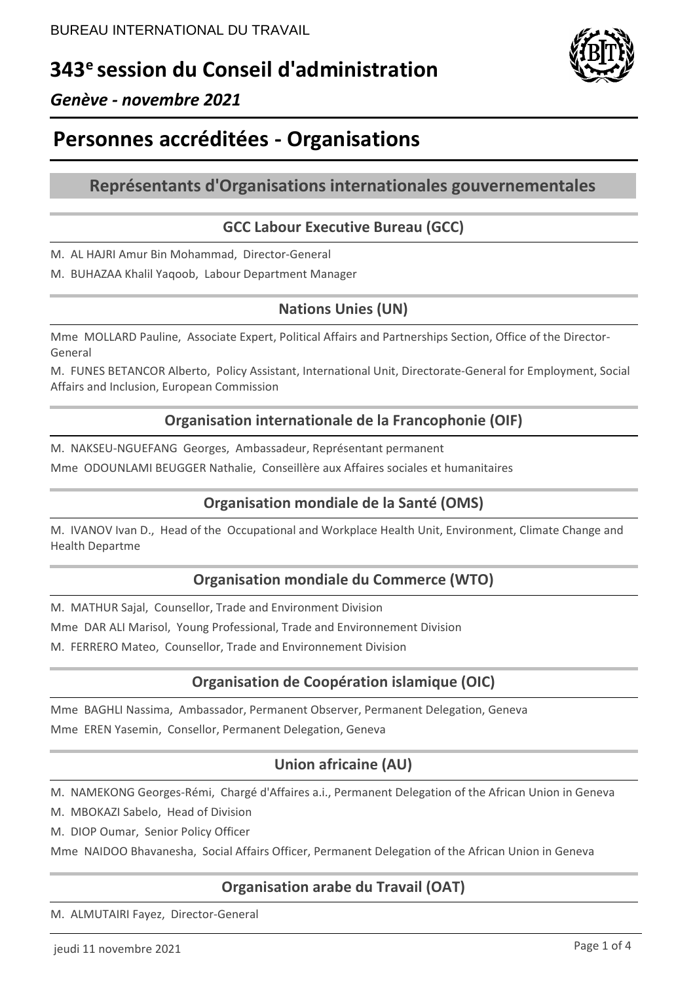# **343<sup>e</sup>session du Conseil d'administration**



## *Genève - novembre 2021*

# **Personnes accréditées - Organisations**

## **Représentants d'Organisations internationales gouvernementales**

## **GCC Labour Executive Bureau (GCC)**

- M. AL HAJRI Amur Bin Mohammad, Director-General
- M. BUHAZAA Khalil Yaqoob, Labour Department Manager

## **Nations Unies (UN)**

Mme MOLLARD Pauline, Associate Expert, Political Affairs and Partnerships Section, Office of the Director-General

M. FUNES BETANCOR Alberto, Policy Assistant, International Unit, Directorate-General for Employment, Social Affairs and Inclusion, European Commission

## **Organisation internationale de la Francophonie (OIF)**

M. NAKSEU-NGUEFANG Georges, Ambassadeur, Représentant permanent

Mme ODOUNLAMI BEUGGER Nathalie, Conseillère aux Affaires sociales et humanitaires

## **Organisation mondiale de la Santé (OMS)**

M. IVANOV Ivan D., Head of the Occupational and Workplace Health Unit, Environment, Climate Change and Health Departme

## **Organisation mondiale du Commerce (WTO)**

M. MATHUR Sajal, Counsellor, Trade and Environment Division

Mme DAR ALI Marisol, Young Professional, Trade and Environnement Division

M. FERRERO Mateo, Counsellor, Trade and Environnement Division

## **Organisation de Coopération islamique (OIC)**

Mme BAGHLI Nassima, Ambassador, Permanent Observer, Permanent Delegation, Geneva Mme EREN Yasemin, Consellor, Permanent Delegation, Geneva

## **Union africaine (AU)**

M. NAMEKONG Georges-Rémi, Chargé d'Affaires a.i., Permanent Delegation of the African Union in Geneva

- M. MBOKAZI Sabelo, Head of Division
- M. DIOP Oumar, Senior Policy Officer

Mme NAIDOO Bhavanesha, Social Affairs Officer, Permanent Delegation of the African Union in Geneva

## **Organisation arabe du Travail (OAT)**

M. ALMUTAIRI Fayez, Director-General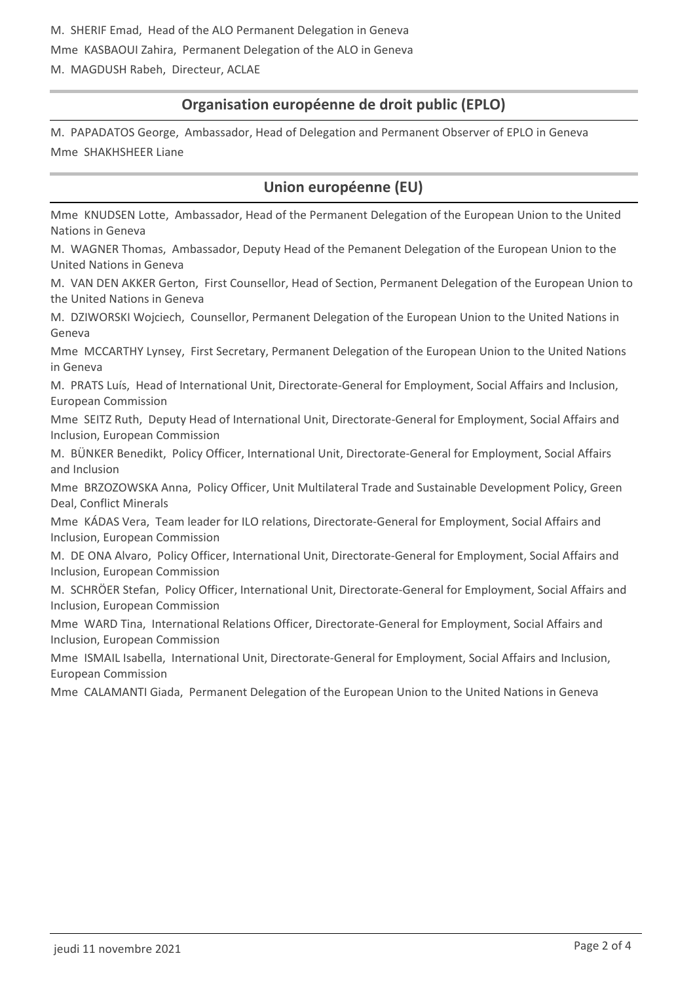## **Organisation européenne de droit public (EPLO)**

M. PAPADATOS George, Ambassador, Head of Delegation and Permanent Observer of EPLO in Geneva Mme SHAKHSHEER Liane

## **Union européenne (EU)**

Mme KNUDSEN Lotte, Ambassador, Head of the Permanent Delegation of the European Union to the United Nations in Geneva

M. WAGNER Thomas, Ambassador, Deputy Head of the Pemanent Delegation of the European Union to the United Nations in Geneva

M. VAN DEN AKKER Gerton, First Counsellor, Head of Section, Permanent Delegation of the European Union to the United Nations in Geneva

M. DZIWORSKI Wojciech, Counsellor, Permanent Delegation of the European Union to the United Nations in Geneva

Mme MCCARTHY Lynsey, First Secretary, Permanent Delegation of the European Union to the United Nations in Geneva

M. PRATS Luís, Head of International Unit, Directorate-General for Employment, Social Affairs and Inclusion, European Commission

Mme SEITZ Ruth, Deputy Head of International Unit, Directorate-General for Employment, Social Affairs and Inclusion, European Commission

M. BÜNKER Benedikt, Policy Officer, International Unit, Directorate-General for Employment, Social Affairs and Inclusion

Mme BRZOZOWSKA Anna, Policy Officer, Unit Multilateral Trade and Sustainable Development Policy, Green Deal, Conflict Minerals

Mme KÁDAS Vera, Team leader for ILO relations, Directorate-General for Employment, Social Affairs and Inclusion, European Commission

M. DE ONA Alvaro, Policy Officer, International Unit, Directorate-General for Employment, Social Affairs and Inclusion, European Commission

M. SCHRÖER Stefan, Policy Officer, International Unit, Directorate-General for Employment, Social Affairs and Inclusion, European Commission

Mme WARD Tina, International Relations Officer, Directorate-General for Employment, Social Affairs and Inclusion, European Commission

Mme ISMAIL Isabella, International Unit, Directorate-General for Employment, Social Affairs and Inclusion, European Commission

Mme CALAMANTI Giada, Permanent Delegation of the European Union to the United Nations in Geneva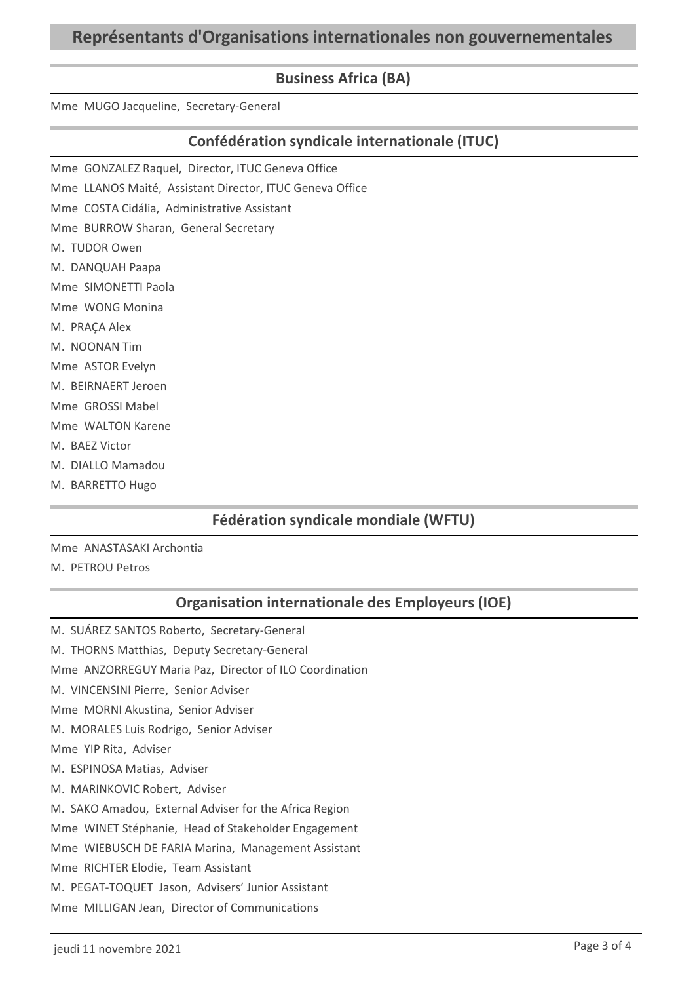## **Business Africa (BA)**

Mme MUGO Jacqueline, Secretary-General

## **Confédération syndicale internationale (ITUC)**

- Mme GONZALEZ Raquel, Director, ITUC Geneva Office
- Mme LLANOS Maité, Assistant Director, ITUC Geneva Office
- Mme COSTA Cidália, Administrative Assistant
- Mme BURROW Sharan, General Secretary
- M. TUDOR Owen
- M. DANQUAH Paapa
- Mme SIMONETTI Paola
- Mme WONG Monina
- M. PRAÇA Alex
- M. NOONAN Tim
- Mme ASTOR Evelyn
- M. BEIRNAERT Jeroen
- Mme GROSSI Mabel
- Mme WALTON Karene
- M. BAEZ Victor
- M. DIALLO Mamadou
- M. BARRETTO Hugo

## **Fédération syndicale mondiale (WFTU)**

#### Mme ANASTASAKI Archontia M. PETROU Petros

## **Organisation internationale des Employeurs (IOE)**

M. SUÁREZ SANTOS Roberto, Secretary-General M. THORNS Matthias, Deputy Secretary-General Mme ANZORREGUY Maria Paz, Director of ILO Coordination M. VINCENSINI Pierre, Senior Adviser Mme MORNI Akustina, Senior Adviser M. MORALES Luis Rodrigo, Senior Adviser Mme YIP Rita, Adviser M. ESPINOSA Matias, Adviser M. MARINKOVIC Robert, Adviser M. SAKO Amadou, External Adviser for the Africa Region Mme WINET Stéphanie, Head of Stakeholder Engagement Mme WIEBUSCH DE FARIA Marina, Management Assistant Mme RICHTER Elodie, Team Assistant M. PEGAT-TOQUET Jason, Advisers' Junior Assistant Mme MILLIGAN Jean, Director of Communications